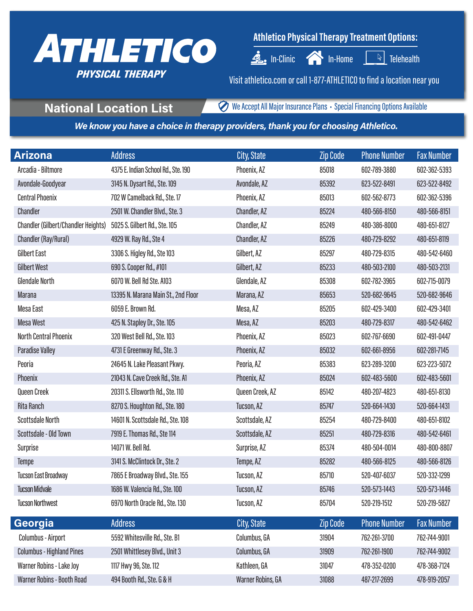

## **Athletico Physical Therapy Treatment Options:**

 $\triangleq$  In-Clinic  $\curvearrowleft$  In-Home  $\begin{array}{|c|c|c|c|c|}\hline \multicolumn{1}{|c|}{\infty} & \multicolumn{1}{|c|}{\text{Ielehealth}} \\\hline \multicolumn{1}{|c|}{\text{Ielehealth}} & & & \multicolumn{1}{|c|}{\text{Ielehealth}} \\\hline \multicolumn{1}{|c|}{\text{Ielehealth}} & & & \multicolumn{1}{|c|}{\text{Ielehealth}} \\\hline \multicolumn{1}{|c|}{\text{Ielehealth}} & & & \multicolumn{1}{|c|}{\text{Ielehealth}}$ 

Visit athletico.com or call 1-877-ATHLETICO to find a location near you

**National Location List WE** We Accept All Major Insurance Plans • Special Financing Options Available

*We know you have a choice in therapy providers, thank you for choosing Athletico.* 

| Arizona                                    | <b>Address</b>                      | <b>City, State</b> | <b>Zip Code</b> | <b>Phone Number</b> | <b>Fax Number</b> |
|--------------------------------------------|-------------------------------------|--------------------|-----------------|---------------------|-------------------|
| Arcadia - Biltmore                         | 4375 E. Indian School Rd., Ste. 190 | Phoenix, AZ        | 85018           | 602-789-3880        | 602-362-5393      |
| Avondale-Goodyear                          | 3145 N. Dysart Rd., Ste. 109        | Avondale, AZ       | 85392           | 623-522-8491        | 623-522-8492      |
| <b>Central Phoenix</b>                     | 702 W Camelback Rd., Ste. 17        | Phoenix, AZ        | 85013           | 602-562-8773        | 602-362-5396      |
| Chandler                                   | 2501 W. Chandler Blvd., Ste. 3      | Chandler, AZ       | 85224           | 480-566-8150        | 480-566-8151      |
| <b>Chandler (Gilbert/Chandler Heights)</b> | 5025 S. Gilbert Rd., Ste. 105       | Chandler, AZ       | 85249           | 480-386-8000        | 480-651-8127      |
| Chandler (Ray/Rural)                       | 4929 W. Ray Rd., Ste 4              | Chandler, AZ       | 85226           | 480-729-8292        | 480-651-8119      |
| Gilbert East                               | 3306 S. Higley Rd., Ste 103         | Gilbert, AZ        | 85297           | 480-729-8315        | 480-542-6460      |
| <b>Gilbert West</b>                        | 690 S. Cooper Rd., #101             | Gilbert, AZ        | 85233           | 480-503-2100        | 480-503-2131      |
| <b>Glendale North</b>                      | 6070 W. Bell Rd Ste. A103           | Glendale, AZ       | 85308           | 602-782-3965        | 602-715-0079      |
| <b>Marana</b>                              | 13395 N. Marana Main St., 2nd Floor | Marana, AZ         | 85653           | 520-682-9645        | 520-682-9646      |
| Mesa East                                  | 6059 E. Brown Rd.                   | Mesa, AZ           | 85205           | 602-429-3400        | 602-429-3401      |
| <b>Mesa West</b>                           | 425 N. Stapley Dr., Ste. 105        | Mesa, AZ           | 85203           | 480-729-8317        | 480-542-6462      |
| <b>North Central Phoenix</b>               | 320 West Bell Rd., Ste. 103         | Phoenix, AZ        | 85023           | 602-767-6690        | 602-491-0447      |
| <b>Paradise Valley</b>                     | 4731 E Greenway Rd., Ste. 3         | Phoenix, AZ        | 85032           | 602-661-8956        | 602-281-7145      |
| Peoria                                     | 24645 N. Lake Pleasant Pkwy.        | Peoria, AZ         | 85383           | 623-289-3200        | 623-223-5072      |
| Phoenix                                    | 21043 N. Cave Creek Rd., Ste. A1    | Phoenix, AZ        | 85024           | 602-483-5600        | 602-483-5601      |
| Queen Creek                                | 20311 S. Ellsworth Rd., Ste. 110    | Queen Creek, AZ    | 85142           | 480-207-4823        | 480-651-8130      |
| <b>Rita Ranch</b>                          | 8270 S. Houghton Rd., Ste. 180      | Tucson, AZ         | 85747           | 520-664-1430        | 520-664-1431      |
| <b>Scottsdale North</b>                    | 14601 N. Scottsdale Rd., Ste. 108   | Scottsdale, AZ     | 85254           | 480-729-8400        | 480-651-8102      |
| Scottsdale - Old Town                      | 7919 E. Thomas Rd., Ste 114         | Scottsdale, AZ     | 85251           | 480-729-8316        | 480-542-6461      |
| Surprise                                   | 14071 W. Bell Rd.                   | Surprise, AZ       | 85374           | 480-504-0014        | 480-800-8807      |
| <b>Tempe</b>                               | 3141 S. McClintock Dr., Ste. 2      | Tempe, AZ          | 85282           | 480-566-8125        | 480-566-8126      |
| <b>Tucson East Broadway</b>                | 7865 E Broadway Blvd., Ste. 155     | Tucson, AZ         | 85710           | 520-407-6037        | 520-332-1299      |
| <b>Tucson Midvale</b>                      | 1686 W. Valencia Rd., Ste. 100      | Tucson, AZ         | 85746           | 520-573-1443        | 520-573-1446      |
| <b>Tucson Northwest</b>                    | 6970 North Oracle Rd., Ste. 130     | Tucson, AZ         | 85704           | 520-219-1512        | 520-219-5827      |
| Georgia                                    | <b>Address</b>                      | City, State        | <b>Zip Code</b> | <b>Phone Number</b> | <b>Fax Number</b> |
| Columbus - Airport                         | 5592 Whitesville Rd., Ste. B1       | Columbus, GA       | 31904           | 762-261-3700        | 762-744-9001      |
| <b>Columbus - Highland Pines</b>           | 2501 Whittlesey Blvd., Unit 3       | Columbus, GA       | 31909           | 762-261-1900        | 762-744-9002      |
| Warner Robins - Lake Joy                   | 1117 Hwy 96, Ste. 112               | Kathleen, GA       | 31047           | 478-352-0200        | 478-368-7124      |
| Warner Robins - Booth Road                 | 494 Booth Rd., Ste. G & H           | Warner Robins, GA  | 31088           | 487-217-2699        | 478-919-2057      |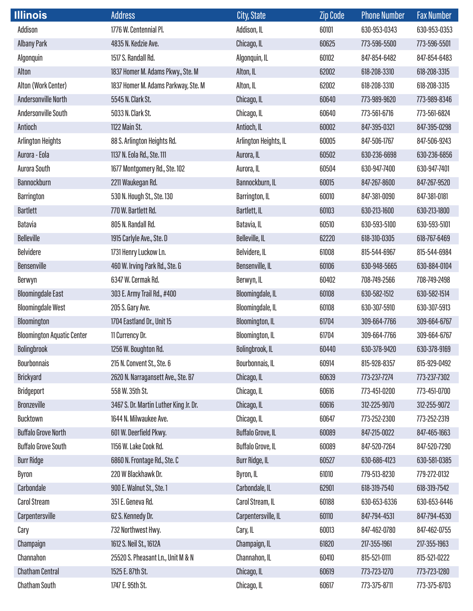| <b>Illinois</b>                   | <b>Address</b>                         | City, State            | <b>Zip Code</b> | <b>Phone Number</b> | <b>Fax Number</b> |
|-----------------------------------|----------------------------------------|------------------------|-----------------|---------------------|-------------------|
| Addison                           | 1776 W. Centennial Pl.                 | Addison, IL            | 60101           | 630-953-0343        | 630-953-0353      |
| <b>Albany Park</b>                | 4835 N. Kedzie Ave.                    | Chicago, IL            | 60625           | 773-596-5500        | 773-596-5501      |
| Algonquin                         | 1517 S. Randall Rd.                    | Algonquin, IL          | 60102           | 847-854-6482        | 847-854-6483      |
| Alton                             | 1837 Homer M. Adams Pkwy., Ste. M      | Alton, IL              | 62002           | 618-208-3310        | 618-208-3315      |
| Alton (Work Center)               | 1837 Homer M. Adams Parkway, Ste. M    | Alton, IL              | 62002           | 618-208-3310        | 618-208-3315      |
| Andersonville North               | 5545 N. Clark St.                      | Chicago, IL            | 60640           | 773-989-9620        | 773-989-8346      |
| Andersonville South               | 5033 N. Clark St.                      | Chicago, IL            | 60640           | 773-561-6716        | 773-561-6824      |
| Antioch                           | 1122 Main St.                          | Antioch, IL            | 60002           | 847-395-0321        | 847-395-0298      |
| <b>Arlington Heights</b>          | 88 S. Arlington Heights Rd.            | Arlington Heights, IL  | 60005           | 847-506-1767        | 847-506-9243      |
| Aurora - Eola                     | 1137 N. Eola Rd., Ste. 111             | Aurora, IL             | 60502           | 630-236-6698        | 630-236-6856      |
| Aurora South                      | 1677 Montgomery Rd., Ste. 102          | Aurora, IL             | 60504           | 630-947-7400        | 630-947-7401      |
| <b>Bannockburn</b>                | 2211 Waukegan Rd.                      | Bannockburn, IL        | 60015           | 847-267-8600        | 847-267-9520      |
| <b>Barrington</b>                 | 530 N. Hough St., Ste. 130             | Barrington, IL         | 60010           | 847-381-0090        | 847-381-0181      |
| <b>Bartlett</b>                   | 770 W. Bartlett Rd.                    | Bartlett, IL           | 60103           | 630-213-1600        | 630-213-1800      |
| Batavia                           | 805 N. Randall Rd.                     | Batavia, IL            | 60510           | 630-593-5100        | 630-593-5101      |
| <b>Belleville</b>                 | 1915 Carlyle Ave., Ste. D              | Belleville, IL         | 62220           | 618-310-0305        | 618-767-6469      |
| <b>Belvidere</b>                  | 1731 Henry Luckow Ln.                  | Belvidere, IL          | 61008           | 815-544-6967        | 815-544-6984      |
| Bensenville                       | 460 W. Irving Park Rd., Ste. G         | Bensenville, IL        | 60106           | 630-948-5665        | 630-884-0104      |
| Berwyn                            | 6347 W. Cermak Rd.                     | Berwyn, IL             | 60402           | 708-749-2566        | 708-749-2498      |
| <b>Bloomingdale East</b>          | 303 E. Army Trail Rd., #400            | Bloomingdale, IL       | 60108           | 630-582-1512        | 630-582-1514      |
| <b>Bloomingdale West</b>          | 205 S. Gary Ave.                       | Bloomingdale, IL       | 60108           | 630-307-5910        | 630-307-5913      |
| Bloomington                       | 1704 Eastland Dr., Unit 15             | <b>Bloomington, IL</b> | 61704           | 309-664-7766        | 309-664-6767      |
| <b>Bloomington Aquatic Center</b> | 11 Currency Dr.                        | <b>Bloomington, IL</b> | 61704           | 309-664-7766        | 309-664-6767      |
| <b>Bolingbrook</b>                | 1256 W. Boughton Rd.                   | Bolingbrook, IL        | 60440           | 630-378-9420        | 630-378-9169      |
| <b>Bourbonnais</b>                | 215 N. Convent St., Ste. 6             | Bourbonnais, IL        | 60914           | 815-928-8357        | 815-929-0492      |
| <b>Brickyard</b>                  | 2620 N. Narragansett Ave., Ste. B7     | Chicago, IL            | 60639           | 773-237-7274        | 773-237-7302      |
| <b>Bridgeport</b>                 | 558 W. 35th St.                        | Chicago, IL            | 60616           | 773-451-0200        | 773-451-0700      |
| <b>Bronzeville</b>                | 3467 S. Dr. Martin Luther King Jr. Dr. | Chicago, IL            | 60616           | 312-225-9070        | 312-255-9072      |
| Bucktown                          | 1644 N. Milwaukee Ave.                 | Chicago, IL            | 60647           | 773-252-2300        | 773-252-2319      |
| <b>Buffalo Grove North</b>        | 601 W. Deerfield Pkwy.                 | Buffalo Grove, IL      | 60089           | 847-215-0022        | 847-465-1663      |
| <b>Buffalo Grove South</b>        | 1156 W. Lake Cook Rd.                  | Buffalo Grove, IL      | 60089           | 847-520-7264        | 847-520-7290      |
| <b>Burr Ridge</b>                 | 6860 N. Frontage Rd., Ste. C           | <b>Burr Ridge, IL</b>  | 60527           | 630-686-4123        | 630-581-0385      |
| Byron                             | 220 W Blackhawk Dr.                    | Byron, IL              | 61010           | 779-513-8230        | 779-272-0132      |
| Carbondale                        | 900 E. Walnut St., Ste. 1              | Carbondale, IL         | 62901           | 618-319-7540        | 618-319-7542      |
| <b>Carol Stream</b>               | 351 E. Geneva Rd.                      | Carol Stream, IL       | 60188           | 630-653-6336        | 630-653-6446      |
| Carpentersville                   | 62 S. Kennedy Dr.                      | Carpentersville, IL    | 60110           | 847-794-4531        | 847-794-4530      |
| Cary                              | 732 Northwest Hwy.                     | Cary, IL               | 60013           | 847-462-0780        | 847-462-0755      |
| Champaign                         | 1612 S. Neil St., 1612A                | Champaign, IL          | 61820           | 217-355-1961        | 217-355-1963      |
| Channahon                         | 25520 S. Pheasant Ln., Unit M & N      | Channahon, IL          | 60410           | 815-521-0111        | 815-521-0222      |
| <b>Chatham Central</b>            | 1525 E. 87th St.                       | Chicago, IL            | 60619           | 773-723-1270        | 773-723-1280      |
| <b>Chatham South</b>              | 1747 E. 95th St.                       | Chicago, IL            | 60617           | 773-375-8711        | 773-375-8703      |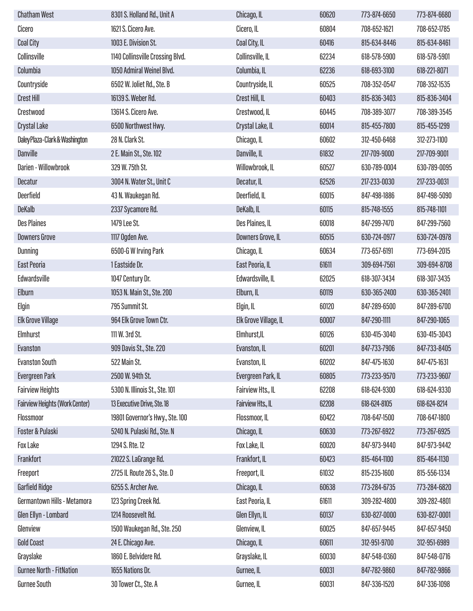| <b>Chatham West</b>                   | 8301 S. Holland Rd., Unit A      | Chicago, IL           | 60620 | 773-874-6650 | 773-874-6680 |
|---------------------------------------|----------------------------------|-----------------------|-------|--------------|--------------|
| Cicero                                | 1621 S. Cicero Ave.              | Cicero, IL            | 60804 | 708-652-1621 | 708-652-1785 |
| <b>Coal City</b>                      | 1003 E. Division St.             | Coal City, IL         | 60416 | 815-634-8446 | 815-634-8461 |
| Collinsville                          | 1140 Collinsville Crossing Blvd. | Collinsville, IL      | 62234 | 618-578-5900 | 618-578-5901 |
| Columbia                              | 1050 Admiral Weinel Blvd.        | Columbia, IL          | 62236 | 618-693-3100 | 618-221-8071 |
| Countryside                           | 6502 W. Joliet Rd., Ste. B       | Countryside, IL       | 60525 | 708-352-0547 | 708-352-1535 |
| <b>Crest Hill</b>                     | 16139 S. Weber Rd.               | Crest Hill, IL        | 60403 | 815-836-3403 | 815-836-3404 |
| Crestwood                             | 13614 S. Cicero Ave.             | Crestwood, IL         | 60445 | 708-389-3077 | 708-389-3545 |
| Crystal Lake                          | 6500 Northwest Hwy.              | Crystal Lake, IL      | 60014 | 815-455-7800 | 815-455-1299 |
| Daley Plaza-Clark & Washington        | 28 N. Clark St.                  | Chicago, IL           | 60602 | 312-450-6468 | 312-273-1100 |
| <b>Danville</b>                       | 2 E. Main St., Ste. 102          | Danville, IL          | 61832 | 217-709-9000 | 217-709-9001 |
| Darien - Willowbrook                  | 329 W. 75th St.                  | Willowbrook, IL       | 60527 | 630-789-0004 | 630-789-0095 |
| <b>Decatur</b>                        | 3004 N. Water St., Unit C        | Decatur, IL           | 62526 | 217-233-0030 | 217-233-0031 |
| Deerfield                             | 43 N. Waukegan Rd.               | Deerfield, IL         | 60015 | 847-498-1886 | 847-498-5090 |
| <b>DeKalb</b>                         | 2337 Sycamore Rd.                | DeKalb, IL            | 60115 | 815-748-1555 | 815-748-1101 |
| <b>Des Plaines</b>                    | 1479 Lee St.                     | Des Plaines, IL       | 60018 | 847-299-7470 | 847-299-7560 |
| <b>Downers Grove</b>                  | 1117 Ogden Ave.                  | Downers Grove, IL     | 60515 | 630-724-0977 | 630-724-0978 |
| Dunning                               | 6500-G W Irving Park             | Chicago, IL           | 60634 | 773-657-6191 | 773-694-2015 |
| <b>East Peoria</b>                    | 1 Eastside Dr.                   | East Peoria, IL       | 61611 | 309-694-7561 | 309-694-8708 |
| Edwardsville                          | 1047 Century Dr.                 | Edwardsville, IL      | 62025 | 618-307-3434 | 618-307-3435 |
| Elburn                                | 1053 N. Main St., Ste. 200       | Elburn, IL            | 60119 | 630-365-2400 | 630-365-2401 |
| Elgin                                 | 795 Summit St.                   | Elgin, IL             | 60120 | 847-289-6500 | 847-289-6700 |
| <b>Elk Grove Village</b>              | 964 Elk Grove Town Ctr.          | Elk Grove Village, IL | 60007 | 847-290-1111 | 847-290-1065 |
| Elmhurst                              | 111 W. 3rd St.                   | Elmhurst, IL          | 60126 | 630-415-3040 | 630-415-3043 |
| Evanston                              | 909 Davis St., Ste. 220          | Evanston, IL          | 60201 | 847-733-7906 | 847-733-8405 |
| <b>Evanston South</b>                 | 522 Main St.                     | Evanston, IL          | 60202 | 847-475-1630 | 847-475-1631 |
| <b>Evergreen Park</b>                 | 2500 W. 94th St.                 | Evergreen Park, IL    | 60805 | 773-233-9570 | 773-233-9607 |
| <b>Fairview Heights</b>               | 5300 N. Illinois St., Ste. 101   | Fairview Hts., IL     | 62208 | 618-624-9300 | 618-624-9330 |
| <b>Fairview Heights (Work Center)</b> | 13 Executive Drive, Ste. 18      | Fairview Hts., IL     | 62208 | 618-624-8105 | 618-624-8214 |
| Flossmoor                             | 19801 Governor's Hwy., Ste. 100  | Flossmoor, IL         | 60422 | 708-647-1500 | 708-647-1800 |
| Foster & Pulaski                      | 5240 N. Pulaski Rd., Ste. N      | Chicago, IL           | 60630 | 773-267-6922 | 773-267-6925 |
| <b>Fox Lake</b>                       | 1294 S. Rte. 12                  | Fox Lake, IL          | 60020 | 847-973-9440 | 847-973-9442 |
| Frankfort                             | 21022 S. LaGrange Rd.            | Frankfort, IL         | 60423 | 815-464-1100 | 815-464-1130 |
| Freeport                              | 2725 IL Route 26 S., Ste. D      | Freeport, IL          | 61032 | 815-235-1600 | 815-556-1334 |
| Garfield Ridge                        | 6255 S. Archer Ave.              | Chicago, IL           | 60638 | 773-284-6735 | 773-284-6820 |
| Germantown Hills - Metamora           | 123 Spring Creek Rd.             | East Peoria, IL       | 61611 | 309-282-4800 | 309-282-4801 |
| Glen Ellyn - Lombard                  | 1214 Roosevelt Rd.               | Glen Ellyn, IL        | 60137 | 630-827-0000 | 630-827-0001 |
| Glenview                              | 1500 Waukegan Rd., Ste. 250      | Glenview, IL          | 60025 | 847-657-9445 | 847-657-9450 |
| <b>Gold Coast</b>                     | 24 E. Chicago Ave.               | Chicago, IL           | 60611 | 312-951-9700 | 312-951-6989 |
| Grayslake                             | 1860 E. Belvidere Rd.            | Grayslake, IL         | 60030 | 847-548-0360 | 847-548-0716 |
| <b>Gurnee North - FitNation</b>       | 1655 Nations Dr.                 | Gurnee, IL            | 60031 | 847-782-9860 | 847-782-9866 |
| Gurnee South                          | 30 Tower Ct., Ste. A             | Gurnee, IL            | 60031 | 847-336-1520 | 847-336-1098 |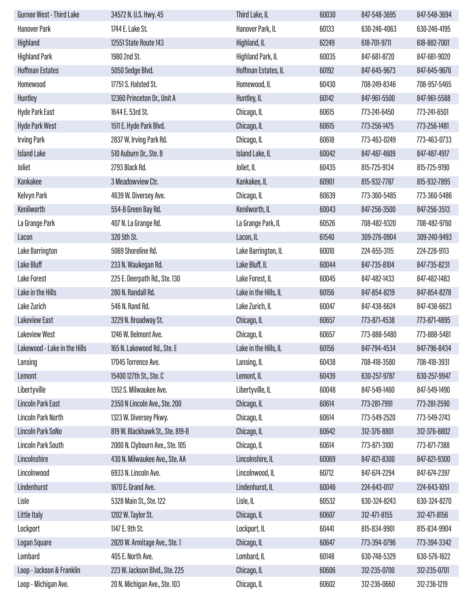| Gurnee West - Third Lake     | 34572 N. U.S. Hwy. 45            | Third Lake, IL        | 60030 | 847-548-3695 | 847-548-3694 |
|------------------------------|----------------------------------|-----------------------|-------|--------------|--------------|
| <b>Hanover Park</b>          | 1744 E. Lake St.                 | Hanover Park, IL      | 60133 | 630-246-4063 | 630-246-4195 |
| Highland                     | 12551 State Route 143            | Highland, IL          | 62249 | 618-701-9711 | 618-882-7001 |
| <b>Highland Park</b>         | 1980 2nd St.                     | Highland Park, IL     | 60035 | 847-681-8720 | 847-681-9020 |
| <b>Hoffman Estates</b>       | 5050 Sedge Blvd.                 | Hoffman Estates, IL   | 60192 | 847-645-9673 | 847-645-9676 |
| Homewood                     | 17751 S. Halsted St.             | Homewood, IL          | 60430 | 708-249-8346 | 708-957-5465 |
| Huntley                      | 12360 Princeton Dr., Unit A      | Huntley, IL           | 60142 | 847-961-5500 | 847-961-5588 |
| Hyde Park East               | 1644 E. 53rd St.                 | Chicago, IL           | 60615 | 773-241-6450 | 773-241-6501 |
| <b>Hyde Park West</b>        | 1511 E. Hyde Park Blvd.          | Chicago, IL           | 60615 | 773-256-1475 | 773-256-1481 |
| <b>Irving Park</b>           | 2837 W. Irving Park Rd.          | Chicago, IL           | 60618 | 773-463-0249 | 773-463-0733 |
| <b>Island Lake</b>           | 510 Auburn Dr., Ste. B           | Island Lake, IL       | 60042 | 847-487-4609 | 847-487-4917 |
| Joliet                       | 2793 Black Rd.                   | Joliet, IL            | 60435 | 815-725-9134 | 815-725-9190 |
| Kankakee                     | 3 Meadowview Ctr.                | Kankakee, IL          | 60901 | 815-932-7787 | 815-932-7895 |
| Kelvyn Park                  | 4639 W. Diversey Ave.            | Chicago, IL           | 60639 | 773-360-5485 | 773-360-5486 |
| Kenilworth                   | 554-B Green Bay Rd.              | Kenilworth, IL        | 60043 | 847-256-3500 | 847-256-3513 |
| La Grange Park               | 407 N. La Grange Rd.             | La Grange Park, IL    | 60526 | 708-482-9320 | 708-482-9760 |
| Lacon                        | 320 5th St.                      | Lacon, IL             | 61540 | 309-276-0904 | 309-240-9493 |
| Lake Barrington              | 5069 Shoreline Rd.               | Lake Barrington, IL   | 60010 | 224-655-3115 | 224-228-9113 |
| Lake Bluff                   | 233 N. Waukegan Rd.              | Lake Bluff, IL        | 60044 | 847-735-8104 | 847-735-8231 |
| <b>Lake Forest</b>           | 225 E. Deerpath Rd., Ste. 130    | Lake Forest, IL       | 60045 | 847-482-1433 | 847-482-1483 |
| Lake in the Hills            | 280 N. Randall Rd.               | Lake in the Hills, IL | 60156 | 847-854-8219 | 847-854-8278 |
| Lake Zurich                  | 546 N. Rand Rd.                  | Lake Zurich, IL       | 60047 | 847-438-6624 | 847-438-6623 |
| <b>Lakeview East</b>         | 3229 N. Broadway St.             | Chicago, IL           | 60657 | 773-871-4538 | 773-871-4895 |
| <b>Lakeview West</b>         | 1246 W. Belmont Ave.             | Chicago, IL           | 60657 | 773-888-5480 | 773-888-5481 |
| Lakewood - Lake in the Hills | 165 N. Lakewood Rd., Ste. E      | Lake in the Hills, IL | 60156 | 847-794-4534 | 847-796-8434 |
| Lansing                      | 17045 Torrence Ave.              | Lansing, IL           | 60438 | 708-418-3580 | 708-418-3931 |
| Lemont                       | 15400 127th St., Ste. C          | Lemont, IL            | 60439 | 630-257-9787 | 630-257-9947 |
| Libertyville                 | 1352 S. Milwaukee Ave.           | Libertyville, IL      | 60048 | 847-549-1460 | 847-549-1490 |
| <b>Lincoln Park East</b>     | 2350 N Lincoln Ave., Ste. 200    | Chicago, IL           | 60614 | 773-281-7991 | 773-281-2590 |
| <b>Lincoln Park North</b>    | 1323 W. Diversey Pkwy.           | Chicago, IL           | 60614 | 773-549-2520 | 773-549-2743 |
| Lincoln Park SoNo            | 819 W. Blackhawk St., Ste. 819-B | Chicago, IL           | 60642 | 312-376-8801 | 312-376-8802 |
| Lincoln Park South           | 2000 N. Clybourn Ave., Ste. 105  | Chicago, IL           | 60614 | 773-871-3100 | 773-871-7388 |
| Lincolnshire                 | 430 N. Milwaukee Ave., Ste. AA   | Lincolnshire, IL      | 60069 | 847-821-8300 | 847-821-9300 |
| Lincolnwood                  | 6933 N. Lincoln Ave.             | Lincolnwood, IL       | 60712 | 847-674-2294 | 847-674-2397 |
| Lindenhurst                  | 1870 E. Grand Ave.               | Lindenhurst, IL       | 60046 | 224-643-0117 | 224-643-1051 |
| Lisle                        | 5328 Main St., Ste. 122          | Lisle, IL             | 60532 | 630-324-8243 | 630-324-8270 |
| Little Italy                 | 1202 W. Taylor St.               | Chicago, IL           | 60607 | 312-471-8155 | 312-471-8156 |
| Lockport                     | 1147 E. 9th St.                  | Lockport, IL          | 60441 | 815-834-9901 | 815-834-9904 |
| <b>Logan Square</b>          | 2820 W. Armitage Ave., Ste. 1    | Chicago, IL           | 60647 | 773-394-0796 | 773-394-3342 |
| Lombard                      | 405 E. North Ave.                | Lombard, IL           | 60148 | 630-748-5329 | 630-576-1622 |
| Loop - Jackson & Franklin    | 223 W. Jackson Blvd., Ste. 225   | Chicago, IL           | 60606 | 312-235-0700 | 312-235-0701 |
| Loop - Michigan Ave.         | 20 N. Michigan Ave., Ste. 103    | Chicago, IL           | 60602 | 312-236-0660 | 312-236-1219 |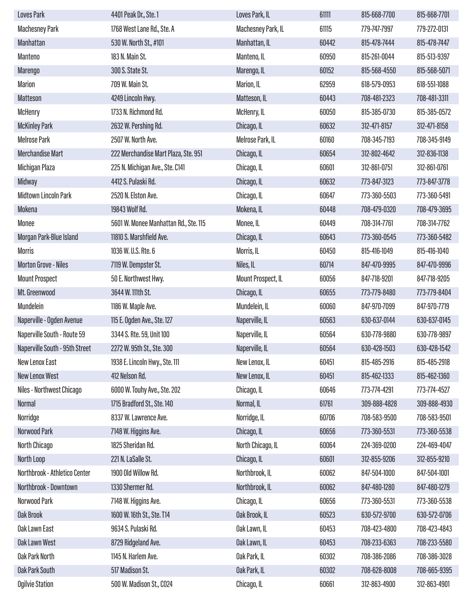| <b>Loves Park</b>              | 4401 Peak Dr., Ste. 1                 | Loves Park, IL     | 61111 | 815-668-7700 | 815-668-7701 |
|--------------------------------|---------------------------------------|--------------------|-------|--------------|--------------|
| <b>Machesney Park</b>          | 1768 West Lane Rd., Ste. A            | Machesney Park, IL | 61115 | 779-747-7997 | 779-272-0131 |
| Manhattan                      | 530 W. North St., #101                | Manhattan, IL      | 60442 | 815-478-7444 | 815-478-7447 |
| Manteno                        | 183 N. Main St.                       | Manteno, IL        | 60950 | 815-261-0044 | 815-513-9397 |
| <b>Marengo</b>                 | 300 S. State St.                      | Marengo, IL        | 60152 | 815-568-4550 | 815-568-5071 |
| <b>Marion</b>                  | 709 W. Main St.                       | Marion, IL         | 62959 | 618-579-0953 | 618-551-1088 |
| <b>Matteson</b>                | 4249 Lincoln Hwy.                     | Matteson, IL       | 60443 | 708-481-2323 | 708-481-3311 |
| <b>McHenry</b>                 | 1733 N. Richmond Rd.                  | McHenry, IL        | 60050 | 815-385-0730 | 815-385-0572 |
| <b>McKinley Park</b>           | 2632 W. Pershing Rd.                  | Chicago, IL        | 60632 | 312-471-8157 | 312-471-8158 |
| <b>Melrose Park</b>            | 2507 W. North Ave.                    | Melrose Park, IL   | 60160 | 708-345-7193 | 708-345-9149 |
| <b>Merchandise Mart</b>        | 222 Merchandise Mart Plaza, Ste. 951  | Chicago, IL        | 60654 | 312-802-4642 | 312-836-1138 |
| Michigan Plaza                 | 225 N. Michigan Ave., Ste. C141       | Chicago, IL        | 60601 | 312-861-0751 | 312-861-0761 |
| Midway                         | 4412 S. Pulaski Rd.                   | Chicago, IL        | 60632 | 773-847-3123 | 773-847-3778 |
| <b>Midtown Lincoln Park</b>    | 2520 N. Elston Ave.                   | Chicago, IL        | 60647 | 773-360-5503 | 773-360-5491 |
| Mokena                         | 19843 Wolf Rd.                        | Mokena, IL         | 60448 | 708-479-0320 | 708-479-3695 |
| Monee                          | 5601 W. Monee Manhattan Rd., Ste. 115 | Monee, IL          | 60449 | 708-314-7761 | 708-314-7762 |
| Morgan Park-Blue Island        | 11810 S. Marshfield Ave.              | Chicago, IL        | 60643 | 773-360-0545 | 773-360-5482 |
| <b>Morris</b>                  | 1036 W. U.S. Rte. 6                   | Morris, IL         | 60450 | 815-416-1049 | 815-416-1040 |
| <b>Morton Grove - Niles</b>    | 7119 W. Dempster St.                  | Niles, IL          | 60714 | 847-470-9995 | 847-470-9996 |
| <b>Mount Prospect</b>          | 50 E. Northwest Hwy.                  | Mount Prospect, IL | 60056 | 847-718-9201 | 847-718-9205 |
| Mt. Greenwood                  | 3644 W. 111th St.                     | Chicago, IL        | 60655 | 773-779-8480 | 773-779-8404 |
| Mundelein                      | 1186 W. Maple Ave.                    | Mundelein, IL      | 60060 | 847-970-7099 | 847-970-7719 |
| Naperville - Ogden Avenue      | 115 E. Ogden Ave., Ste. 127           | Naperville, IL     | 60563 | 630-637-0144 | 630-637-0145 |
| Naperville South - Route 59    | 3344 S. Rte. 59, Unit 100             | Naperville, IL     | 60564 | 630-778-9880 | 630-778-9897 |
| Naperville South - 95th Street | 2272 W. 95th St., Ste. 300            | Naperville, IL     | 60564 | 630-428-1503 | 630-428-1542 |
| <b>New Lenox East</b>          | 1938 E. Lincoln Hwy., Ste. 111        | New Lenox, IL      | 60451 | 815-485-2916 | 815-485-2918 |
| <b>New Lenox West</b>          | 412 Nelson Rd.                        | New Lenox, IL      | 60451 | 815-462-1333 | 815-462-1360 |
| Niles - Northwest Chicago      | 6000 W. Touhy Ave., Ste. 202          | Chicago, IL        | 60646 | 773-774-4291 | 773-774-4527 |
| <b>Normal</b>                  | 1715 Bradford St., Ste. 140           | Normal, IL         | 61761 | 309-888-4828 | 309-888-4930 |
| Norridge                       | 8337 W. Lawrence Ave.                 | Norridge, IL       | 60706 | 708-583-9500 | 708-583-9501 |
| Norwood Park                   | 7148 W. Higgins Ave.                  | Chicago, IL        | 60656 | 773-360-5531 | 773-360-5538 |
| North Chicago                  | 1825 Sheridan Rd.                     | North Chicago, IL  | 60064 | 224-369-0200 | 224-469-4047 |
| North Loop                     | 221 N. LaSalle St.                    | Chicago, IL        | 60601 | 312-855-9206 | 312-855-9210 |
| Northbrook - Athletico Center  | 1900 Old Willow Rd.                   | Northbrook, IL     | 60062 | 847-504-1000 | 847-504-1001 |
| Northbrook - Downtown          | 1330 Shermer Rd.                      | Northbrook, IL     | 60062 | 847-480-1280 | 847-480-1279 |
| Norwood Park                   | 7148 W. Higgins Ave.                  | Chicago, IL        | 60656 | 773-360-5531 | 773-360-5538 |
| <b>Oak Brook</b>               | 1600 W. 16th St., Ste. T14            | Oak Brook, IL      | 60523 | 630-572-9700 | 630-572-0706 |
| Oak Lawn East                  | 9634 S. Pulaski Rd.                   | Oak Lawn, IL       | 60453 | 708-423-4800 | 708-423-4843 |
| <b>Oak Lawn West</b>           | 8729 Ridgeland Ave.                   | Oak Lawn, IL       | 60453 | 708-233-6363 | 708-233-5580 |
| <b>Oak Park North</b>          | 1145 N. Harlem Ave.                   | Oak Park, IL       | 60302 | 708-386-2086 | 708-386-3028 |
| <b>Oak Park South</b>          | 517 Madison St.                       | Oak Park, IL       | 60302 | 708-628-8008 | 708-665-9395 |
| <b>Ogilvie Station</b>         | 500 W. Madison St., CO24              | Chicago, IL        | 60661 | 312-863-4900 | 312-863-4901 |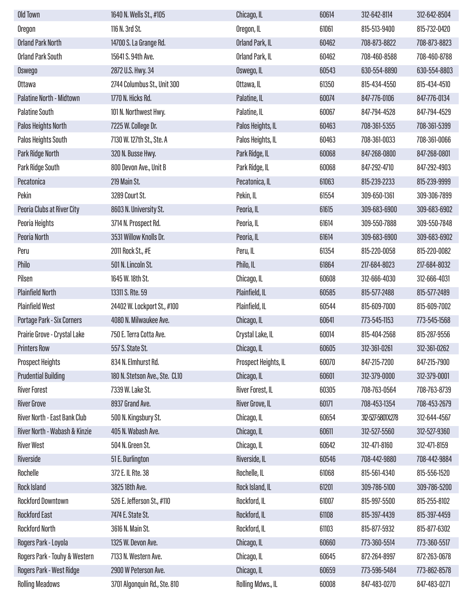| Old Town                        | 1640 N. Wells St., #105        | Chicago, IL          | 60614 | 312-642-8114      | 312-642-8504 |
|---------------------------------|--------------------------------|----------------------|-------|-------------------|--------------|
| Oregon                          | 116 N. 3rd St.                 | Oregon, IL           | 61061 | 815-513-9400      | 815-732-0420 |
| <b>Orland Park North</b>        | 14700 S. La Grange Rd.         | Orland Park, IL      | 60462 | 708-873-8822      | 708-873-8823 |
| <b>Orland Park South</b>        | 15641 S. 94th Ave.             | Orland Park, IL      | 60462 | 708-460-8588      | 708-460-8788 |
| Oswego                          | 2872 U.S. Hwy. 34              | Oswego, IL           | 60543 | 630-554-8890      | 630-554-8803 |
| Ottawa                          | 2744 Columbus St., Unit 300    | Ottawa, IL           | 61350 | 815-434-4550      | 815-434-4510 |
| <b>Palatine North - Midtown</b> | 1770 N. Hicks Rd.              | Palatine, IL         | 60074 | 847-776-0106      | 847-776-0134 |
| <b>Palatine South</b>           | 101 N. Northwest Hwy.          | Palatine, IL         | 60067 | 847-794-4528      | 847-794-4529 |
| <b>Palos Heights North</b>      | 7225 W. College Dr.            | Palos Heights, IL    | 60463 | 708-361-5355      | 708-361-5399 |
| Palos Heights South             | 7130 W. 127th St., Ste. A      | Palos Heights, IL    | 60463 | 708-361-0033      | 708-361-0066 |
| Park Ridge North                | 320 N. Busse Hwy.              | Park Ridge, IL       | 60068 | 847-268-0800      | 847-268-0801 |
| Park Ridge South                | 800 Devon Ave., Unit B         | Park Ridge, IL       | 60068 | 847-292-4710      | 847-292-4903 |
| Pecatonica                      | 219 Main St.                   | Pecatonica, IL       | 61063 | 815-239-2233      | 815-239-9999 |
| Pekin                           | 3289 Court St.                 | Pekin, IL            | 61554 | 309-650-1361      | 309-306-7899 |
| Peoria Clubs at River City      | 8603 N. University St.         | Peoria, IL           | 61615 | 309-683-6900      | 309-683-6902 |
| Peoria Heights                  | 3714 N. Prospect Rd.           | Peoria, IL           | 61614 | 309-550-7888      | 309-550-7848 |
| Peoria North                    | 3531 Willow Knolls Dr.         | Peoria, IL           | 61614 | 309-683-6900      | 309-683-6902 |
| Peru                            | 2011 Rock St., #E              | Peru, IL             | 61354 | 815-220-0058      | 815-220-0082 |
| Philo                           | 501 N. Lincoln St.             | Philo, IL            | 61864 | 217-684-8023      | 217-684-8032 |
| Pilsen                          | 1645 W. 18th St.               | Chicago, IL          | 60608 | 312-666-4030      | 312-666-4031 |
| <b>Plainfield North</b>         | 13311 S. Rte. 59               | Plainfield, IL       | 60585 | 815-577-2488      | 815-577-2489 |
| <b>Plainfield West</b>          | 24402 W. Lockport St., #100    | Plainfield, IL       | 60544 | 815-609-7000      | 815-609-7002 |
| Portage Park - Six Corners      | 4080 N. Milwaukee Ave.         | Chicago, IL          | 60641 | 773-545-1153      | 773-545-1568 |
| Prairie Grove - Crystal Lake    | 750 E. Terra Cotta Ave.        | Crystal Lake, IL     | 60014 | 815-404-2568      | 815-287-9556 |
| <b>Printers Row</b>             | 557 S. State St.               | Chicago, IL          | 60605 | 312-361-0261      | 312-361-0262 |
| <b>Prospect Heights</b>         | 834 N. Elmhurst Rd.            | Prospect Heights, IL | 60070 | 847-215-7200      | 847-215-7900 |
| <b>Prudential Building</b>      | 180 N. Stetson Ave., Ste. CL10 | Chicago, IL          | 60601 | 312-379-0000      | 312-379-0001 |
| <b>River Forest</b>             | 7339 W. Lake St.               | River Forest, IL     | 60305 | 708-763-0564      | 708-763-8739 |
| <b>River Grove</b>              | 8937 Grand Ave.                | River Grove, IL      | 60171 | 708-453-1354      | 708-453-2679 |
| River North - East Bank Club    | 500 N. Kingsbury St.           | Chicago, IL          | 60654 | 312-527-5801X:278 | 312-644-4567 |
| River North - Wabash & Kinzie   | 405 N. Wabash Ave.             | Chicago, IL          | 60611 | 312-527-5560      | 312-527-9360 |
| <b>River West</b>               | 504 N. Green St.               | Chicago, IL          | 60642 | 312-471-8160      | 312-471-8159 |
| Riverside                       | 51 E. Burlington               | Riverside, IL        | 60546 | 708-442-9880      | 708-442-9884 |
| Rochelle                        | 372 E. IL Rte. 38              | Rochelle, IL         | 61068 | 815-561-4340      | 815-556-1520 |
| <b>Rock Island</b>              | 3825 18th Ave.                 | Rock Island, IL      | 61201 | 309-786-5100      | 309-786-5200 |
| <b>Rockford Downtown</b>        | 526 E. Jefferson St., #110     | Rockford, IL         | 61007 | 815-997-5500      | 815-255-8102 |
| <b>Rockford East</b>            | 7474 E. State St.              | Rockford, IL         | 61108 | 815-397-4439      | 815-397-4459 |
| <b>Rockford North</b>           | 3616 N. Main St.               | Rockford, IL         | 61103 | 815-877-5932      | 815-877-6302 |
| Rogers Park - Loyola            | 1325 W. Devon Ave.             | Chicago, IL          | 60660 | 773-360-5514      | 773-360-5517 |
| Rogers Park - Touhy & Western   | 7133 N. Western Ave.           | Chicago, IL          | 60645 | 872-264-8997      | 872-263-0678 |
| Rogers Park - West Ridge        | 2900 W Peterson Ave.           | Chicago, IL          | 60659 | 773-596-5484      | 773-862-8578 |
| <b>Rolling Meadows</b>          | 3701 Algonquin Rd., Ste. 810   | Rolling Mdws., IL    | 60008 | 847-483-0270      | 847-483-0271 |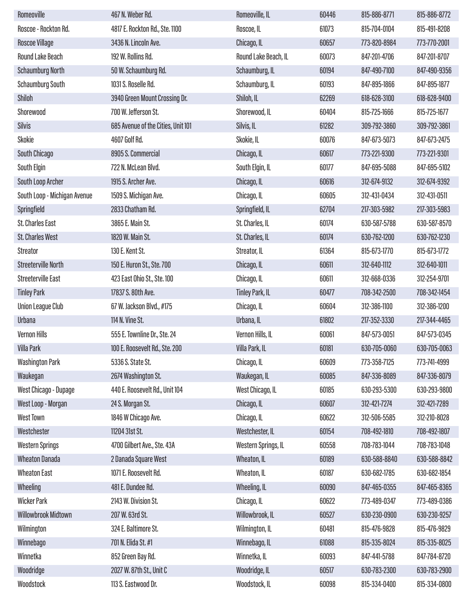| Romeoville                   | 467 N. Weber Rd.                   | Romeoville, IL         | 60446 | 815-886-8771 | 815-886-8772 |
|------------------------------|------------------------------------|------------------------|-------|--------------|--------------|
| Roscoe - Rockton Rd.         | 4817 E. Rockton Rd., Ste. 1100     | Roscoe, IL             | 61073 | 815-704-0104 | 815-491-8208 |
| <b>Roscoe Village</b>        | 3436 N. Lincoln Ave.               | Chicago, IL            | 60657 | 773-820-8984 | 773-770-2001 |
| <b>Round Lake Beach</b>      | 192 W. Rollins Rd.                 | Round Lake Beach, IL   | 60073 | 847-201-4706 | 847-201-8707 |
| <b>Schaumburg North</b>      | 50 W. Schaumburg Rd.               | Schaumburg, IL         | 60194 | 847-490-7100 | 847-490-9356 |
| <b>Schaumburg South</b>      | 1031 S. Roselle Rd.                | Schaumburg, IL         | 60193 | 847-895-1866 | 847-895-1877 |
| Shiloh                       | 3940 Green Mount Crossing Dr.      | Shiloh, IL             | 62269 | 618-628-3100 | 618-628-9400 |
| Shorewood                    | 700 W. Jefferson St.               | Shorewood, IL          | 60404 | 815-725-1666 | 815-725-1677 |
| <b>Silvis</b>                | 685 Avenue of the Cities, Unit 101 | Silvis, IL             | 61282 | 309-792-3860 | 309-792-3861 |
| Skokie                       | 4607 Golf Rd.                      | Skokie, IL             | 60076 | 847-673-5073 | 847-673-2475 |
| South Chicago                | 8905 S. Commercial                 | Chicago, IL            | 60617 | 773-221-9300 | 773-221-9301 |
| South Elgin                  | 722 N. McLean Blvd.                | South Elgin, IL        | 60177 | 847-695-5088 | 847-695-5102 |
| South Loop Archer            | 1915 S. Archer Ave.                | Chicago, IL            | 60616 | 312-674-9132 | 312-674-9392 |
| South Loop - Michigan Avenue | 1509 S. Michigan Ave.              | Chicago, IL            | 60605 | 312-431-0434 | 312-431-0511 |
| Springfield                  | 2833 Chatham Rd.                   | Springfield, IL        | 62704 | 217-303-5982 | 217-303-5983 |
| <b>St. Charles East</b>      | 3865 E. Main St.                   | St. Charles, IL        | 60174 | 630-587-5788 | 630-587-8570 |
| <b>St. Charles West</b>      | 1820 W. Main St.                   | St. Charles, IL        | 60174 | 630-762-1200 | 630-762-1230 |
| <b>Streator</b>              | 130 E. Kent St.                    | Streator, IL           | 61364 | 815-673-1770 | 815-673-1772 |
| <b>Streeterville North</b>   | 150 E. Huron St., Ste. 700         | Chicago, IL            | 60611 | 312-640-1112 | 312-640-1011 |
| Streeterville East           | 423 East Ohio St., Ste. 100        | Chicago, IL            | 60611 | 312-668-0336 | 312-254-9701 |
| <b>Tinley Park</b>           | 17837 S. 80th Ave.                 | <b>Tinley Park, IL</b> | 60477 | 708-342-2500 | 708-342-1454 |
| <b>Union League Club</b>     | 67 W. Jackson Blvd., #175          | Chicago, IL            | 60604 | 312-386-1100 | 312-386-1200 |
| Urbana                       | 114 N. Vine St.                    | Urbana, IL             | 61802 | 217-352-3330 | 217-344-4465 |
| <b>Vernon Hills</b>          | 555 E. Townline Dr., Ste. 24       | Vernon Hills, IL       | 60061 | 847-573-0051 | 847-573-0345 |
| Villa Park                   | 100 E. Roosevelt Rd., Ste. 200     | Villa Park, IL         | 60181 | 630-705-0060 | 630-705-0063 |
| <b>Washington Park</b>       | 5336 S. State St.                  | Chicago, IL            | 60609 | 773-358-7125 | 773-741-4999 |
| Waukegan                     | 2674 Washington St.                | Waukegan, IL           | 60085 | 847-336-8089 | 847-336-8079 |
| West Chicago - Dupage        | 440 E. Roosevelt Rd., Unit 104     | West Chicago, IL       | 60185 | 630-293-5300 | 630-293-9800 |
| West Loop - Morgan           | 24 S. Morgan St.                   | Chicago, IL            | 60607 | 312-421-7274 | 312-421-7289 |
| <b>West Town</b>             | 1846 W Chicago Ave.                | Chicago, IL            | 60622 | 312-506-5585 | 312-210-8028 |
| Westchester                  | 11204 31st St.                     | Westchester, IL        | 60154 | 708-492-1810 | 708-492-1807 |
| <b>Western Springs</b>       | 4700 Gilbert Ave., Ste. 43A        | Western Springs, IL    | 60558 | 708-783-1044 | 708-783-1048 |
| <b>Wheaton Danada</b>        | 2 Danada Square West               | Wheaton, IL            | 60189 | 630-588-8840 | 630-588-8842 |
| <b>Wheaton East</b>          | 1071 E. Roosevelt Rd.              | Wheaton, IL            | 60187 | 630-682-1785 | 630-682-1854 |
| Wheeling                     | 481 E. Dundee Rd.                  | Wheeling, IL           | 60090 | 847-465-0355 | 847-465-8365 |
| <b>Wicker Park</b>           | 2143 W. Division St.               | Chicago, IL            | 60622 | 773-489-0347 | 773-489-0386 |
| Willowbrook Midtown          | 207 W. 63rd St.                    | Willowbrook, IL        | 60527 | 630-230-0900 | 630-230-9257 |
| Wilmington                   | 324 E. Baltimore St.               | Wilmington, IL         | 60481 | 815-476-9828 | 815-476-9829 |
| Winnebago                    | 701 N. Elida St. #1                | Winnebago, IL          | 61088 | 815-335-8024 | 815-335-8025 |
| Winnetka                     | 852 Green Bay Rd.                  | Winnetka, IL           | 60093 | 847-441-5788 | 847-784-8720 |
| Woodridge                    | 2027 W. 87th St., Unit C           | Woodridge, IL          | 60517 | 630-783-2300 | 630-783-2900 |
| Woodstock                    | 113 S. Eastwood Dr.                | Woodstock, IL          | 60098 | 815-334-0400 | 815-334-0800 |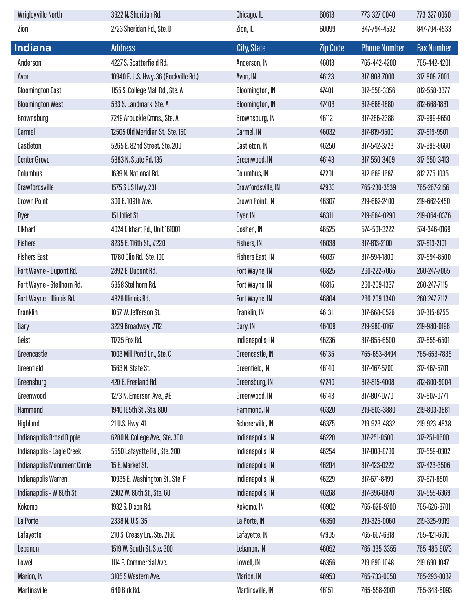| <b>Wrigleyville North</b>           | 3922 N. Sheridan Rd.                  | Chicago, IL            | 60613           | 773-327-0040        | 773-327-0050      |
|-------------------------------------|---------------------------------------|------------------------|-----------------|---------------------|-------------------|
| Zion                                | 2723 Sheridan Rd., Ste. D             | Zion, IL               | 60099           | 847-794-4532        | 847-794-4533      |
| <b>Indiana</b>                      | <b>Address</b>                        | <b>City, State</b>     | <b>Zip Code</b> | <b>Phone Number</b> | <b>Fax Number</b> |
| Anderson                            | 4227 S. Scatterfield Rd.              | Anderson, IN           | 46013           | 765-442-4200        | 765-442-4201      |
| Avon                                | 10940 E. U.S. Hwy. 36 (Rockville Rd.) | Avon, IN               | 46123           | 317-808-7000        | 317-808-7001      |
| <b>Bloomington East</b>             | 1155 S. College Mall Rd., Ste. A      | <b>Bloomington, IN</b> | 47401           | 812-558-3356        | 812-558-3377      |
| <b>Bloomington West</b>             | 533 S. Landmark, Ste. A               | <b>Bloomington, IN</b> | 47403           | 812-668-1880        | 812-668-1881      |
| Brownsburg                          | 7249 Arbuckle Cmns., Ste. A           | Brownsburg, IN         | 46112           | 317-286-2388        | 317-999-9650      |
| Carmel                              | 12505 Old Meridian St., Ste. 150      | Carmel, IN             | 46032           | 317-819-9500        | 317-819-9501      |
| Castleton                           | 5265 E. 82nd Street. Ste. 200         | Castleton, IN          | 46250           | 317-542-3723        | 317-999-9660      |
| <b>Center Grove</b>                 | 5883 N. State Rd. 135                 | Greenwood, IN          | 46143           | 317-550-3409        | 317-550-3413      |
| Columbus                            | 1639 N. National Rd.                  | Columbus, IN           | 47201           | 812-669-1687        | 812-775-1035      |
| Crawfordsville                      | 1575 S US Hwy. 231                    | Crawfordsville, IN     | 47933           | 765-230-3539        | 765-267-2156      |
| <b>Crown Point</b>                  | 300 E. 109th Ave.                     | Crown Point, IN        | 46307           | 219-662-2400        | 219-662-2450      |
| Dyer                                | 151 Joliet St.                        | Dyer, IN               | 46311           | 219-864-0290        | 219-864-0376      |
| Elkhart                             | 4024 Elkhart Rd., Unit 161001         | Goshen, IN             | 46525           | 574-501-3222        | 574-346-0169      |
| <b>Fishers</b>                      | 8235 E. 116th St., #220               | Fishers, IN            | 46038           | 317-813-2100        | 317-813-2101      |
| <b>Fishers East</b>                 | 11780 Olio Rd., Ste. 100              | Fishers East, IN       | 46037           | 317-594-1800        | 317-594-8500      |
| Fort Wayne - Dupont Rd.             | 2892 E. Dupont Rd.                    | Fort Wayne, IN         | 46825           | 260-222-7065        | 260-247-7065      |
| Fort Wayne - Stellhorn Rd.          | 5958 Stellhorn Rd.                    | Fort Wayne, IN         | 46815           | 260-209-1337        | 260-247-7115      |
| Fort Wayne - Illinois Rd.           | 4826 Illinois Rd.                     | Fort Wayne, IN         | 46804           | 260-209-1340        | 260-247-7112      |
| Franklin                            | 1057 W. Jefferson St.                 | Franklin, IN           | 46131           | 317-668-0526        | 317-315-8755      |
| Gary                                | 3229 Broadway, #112                   | Gary, IN               | 46409           | 219-980-0167        | 219-980-0198      |
| Geist                               | 11725 Fox Rd.                         | Indianapolis, IN       | 46236           | 317-855-6500        | 317-855-6501      |
| Greencastle                         | 1003 Mill Pond Ln., Ste. C            | Greencastle, IN        | 46135           | 765-653-8494        | 765-653-7835      |
| Greenfield                          | 1563 N. State St.                     | Greenfield, IN         | 46140           | 317-467-5700        | 317-467-5701      |
| Greensburg                          | 420 E. Freeland Rd.                   | Greensburg, IN         | 47240           | 812-815-4008        | 812-800-9004      |
| Greenwood                           | 1273 N. Emerson Ave., #E              | Greenwood, IN          | 46143           | 317-807-0770        | 317-807-0771      |
| Hammond                             | 1940 165th St., Ste. 800              | Hammond, IN            | 46320           | 219-803-3880        | 219-803-3881      |
| Highland                            | 21 U.S. Hwy. 41                       | Schererville, IN       | 46375           | 219-923-4832        | 219-923-4838      |
| <b>Indianapolis Broad Ripple</b>    | 6280 N. College Ave., Ste. 300        | Indianapolis, IN       | 46220           | 317-251-0500        | 317-251-0600      |
| Indianapolis - Eagle Creek          | 5550 Lafayette Rd., Ste. 200          | Indianapolis, IN       | 46254           | 317-808-8780        | 317-559-0302      |
| <b>Indianapolis Monument Circle</b> | 15 E. Market St.                      | Indianapolis, IN       | 46204           | 317-423-0222        | 317-423-3506      |
| Indianapolis Warren                 | 10935 E. Washington St., Ste. F       | Indianapolis, IN       | 46229           | 317-671-8499        | 317-671-8501      |
| Indianapolis - W 86th St            | 2902 W. 86th St., Ste. 60             | Indianapolis, IN       | 46268           | 317-396-0870        | 317-559-6369      |
| Kokomo                              | 1932 S. Dixon Rd.                     | Kokomo, IN             | 46902           | 765-626-9700        | 765-626-9701      |
| La Porte                            | 2338 N.U.S. 35                        | La Porte, IN           | 46350           | 219-325-0060        | 219-325-9919      |
| Lafayette                           | 210 S. Creasy Ln., Ste. 2160          | Lafayette, IN          | 47905           | 765-607-6918        | 765-421-6610      |
| Lebanon                             | 1519 W. South St. Ste. 300            | Lebanon, IN            | 46052           | 765-335-3355        | 765-485-9073      |
| Lowell                              | 1114 E. Commercial Ave.               | Lowell, IN             | 46356           | 219-690-1048        | 219-690-1047      |
| Marion, IN                          | 3105 S Western Ave.                   | Marion, IN             | 46953           | 765-733-0050        | 765-293-8032      |
| <b>Martinsville</b>                 | 640 Birk Rd.                          | Martinsville, IN       | 46151           | 765-558-2001        | 765-343-8093      |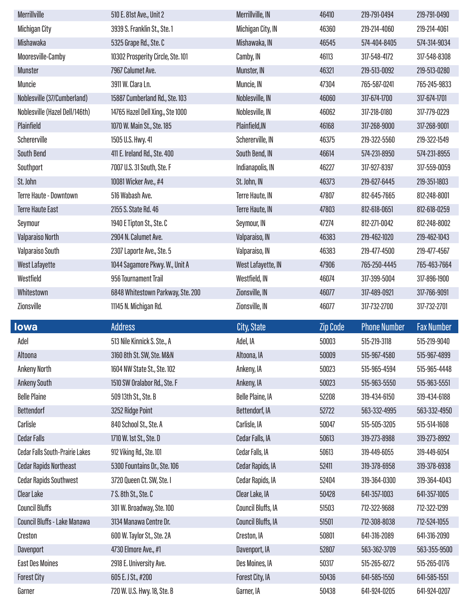| Merrillville                           | 510 E. 81st Ave., Unit 2          | Merrillville, IN        | 46410             | 219-791-0494        | 219-791-0490      |
|----------------------------------------|-----------------------------------|-------------------------|-------------------|---------------------|-------------------|
| <b>Michigan City</b>                   | 3939 S. Franklin St., Ste. 1      | Michigan City, IN       | 46360             | 219-214-4060        | 219-214-4061      |
| Mishawaka                              | 5325 Grape Rd., Ste. C            | Mishawaka, IN           | 46545             | 574-404-8405        | 574-314-9034      |
| Mooresville-Camby                      | 10302 Prosperity Circle, Ste. 101 | Camby, IN               | 46113             | 317-548-4172        | 317-548-8308      |
| <b>Munster</b>                         | 7967 Calumet Ave.                 | Munster, IN             | 46321             | 219-513-0092        | 219-513-0280      |
| Muncie                                 | 3911 W. Clara Ln.                 | Muncie, IN              | 47304             | 765-587-0241        | 765-245-9833      |
| Noblesville (37/Cumberland)            | 15887 Cumberland Rd., Ste. 103    | Noblesville, IN         | 46060             | 317-674-1700        | 317-674-1701      |
| Noblesville (Hazel Dell/146th)         | 14765 Hazel Dell Xing., Ste 1000  | Noblesville, IN         | 46062             | 317-218-0180        | 317-779-0229      |
| Plainfield                             | 1070 W. Main St., Ste. 185        | Plainfield, IN          | 46168             | 317-268-9000        | 317-268-9001      |
| Schererville                           | 1505 U.S. Hwy. 41                 | Schererville, IN        | 46375             | 219-322-5560        | 219-322-1549      |
| <b>South Bend</b>                      | 411 E. Ireland Rd., Ste. 400      | South Bend, IN          | 46614             | 574-231-8950        | 574-231-8955      |
| Southport                              | 7007 U.S. 31 South, Ste. F        | Indianapolis, IN        | 46227             | 317-927-8397        | 317-559-0059      |
| St. John                               | 10081 Wicker Ave., #4             | St. John, IN            | 46373             | 219-627-6445        | 219-351-1803      |
| <b>Terre Haute - Downtown</b>          | 516 Wabash Ave.                   | Terre Haute, IN         | 47807             | 812-645-7665        | 812-248-8001      |
| <b>Terre Haute East</b>                | 2155 S. State Rd. 46              | Terre Haute, IN         | 47803             | 812-618-0651        | 812-618-0259      |
| Seymour                                | 1940 E Tipton St., Ste. C         | Seymour, IN             | 47274             | 812-271-0042        | 812-248-8002      |
| Valparaiso North                       | 2904 N. Calumet Ave.              | Valparaiso, IN          | 46383             | 219-462-1020        | 219-462-1043      |
| Valparaiso South                       | 2307 Laporte Ave., Ste. 5         | Valparaiso, IN          | 46383             | 219-477-4500        | 219-477-4567      |
| <b>West Lafayette</b>                  | 1044 Sagamore Pkwy. W., Unit A    | West Lafayette, IN      | 47906             | 765-250-4445        | 765-463-7664      |
| Westfield                              | 956 Tournament Trail              | Westfield, IN           | 46074             | 317-399-5004        | 317-896-1900      |
| Whitestown                             | 6848 Whitestown Parkway, Ste. 200 | Zionsville, IN          | 46077             | 317-489-0921        | 317-766-9091      |
|                                        |                                   |                         |                   |                     |                   |
| Zionsville                             | 11145 N. Michigan Rd.             | Zionsville, IN          | 46077             | 317-732-2700        | 317-732-2701      |
| lowa                                   | <b>Address</b>                    |                         |                   | <b>Phone Number</b> | <b>Fax Number</b> |
| Adel                                   | 513 Nile Kinnick S. Ste., A       | City, State<br>Adel, IA | Zip Code<br>50003 | 515-219-3118        | 515-219-9040      |
| Altoona                                | 3160 8th St. SW, Ste. M&N         | Altoona, IA             | 50009             | 515-967-4580        | 515-967-4899      |
| <b>Ankeny North</b>                    | 1604 NW State St., Ste. 102       | Ankeny, IA              | 50023             | 515-965-4594        | 515-965-4448      |
| <b>Ankeny South</b>                    | 1510 SW Oralabor Rd., Ste. F      | Ankeny, IA              | 50023             | 515-963-5550        | 515-963-5551      |
| <b>Belle Plaine</b>                    | 509 13th St., Ste. B              | <b>Belle Plaine, IA</b> | 52208             | 319-434-6150        | 319-434-6188      |
| <b>Bettendorf</b>                      | 3252 Ridge Point                  | Bettendorf, IA          | 52722             | 563-332-4995        | 563-332-4950      |
| Carlisle                               | 840 School St., Ste. A            | Carlisle, IA            | 50047             | 515-505-3205        | 515-514-1608      |
| <b>Cedar Falls</b>                     | 1710 W. 1st St., Ste. D           | Cedar Falls, IA         | 50613             | 319-273-8988        | 319-273-8992      |
| <b>Cedar Falls South-Prairie Lakes</b> | 912 Viking Rd., Ste. 101          | Cedar Falls, IA         | 50613             | 319-449-6055        | 319-449-6054      |
| <b>Cedar Rapids Northeast</b>          | 5300 Fountains Dr., Ste. 106      | Cedar Rapids, IA        | 52411             | 319-378-6958        | 319-378-6938      |
| <b>Cedar Rapids Southwest</b>          | 3720 Queen Ct. SW, Ste. I         | Cedar Rapids, IA        | 52404             | 319-364-0300        | 319-364-4043      |
| <b>Clear Lake</b>                      | 7 S. 8th St., Ste. C              | Clear Lake, IA          | 50428             | 641-357-1003        | 641-357-1005      |
| <b>Council Bluffs</b>                  | 301 W. Broadway, Ste. 100         | Council Bluffs, IA      | 51503             | 712-322-9688        | 712-322-1299      |
| Council Bluffs - Lake Manawa           | 3134 Manawa Centre Dr.            | Council Bluffs, IA      | 51501             | 712-308-8038        | 712-524-1055      |
| Creston                                | 600 W. Taylor St., Ste. 2A        | Creston, IA             | 50801             | 641-316-2089        | 641-316-2090      |
| Davenport                              | 4730 Elmore Ave., #1              | Davenport, IA           | 52807             | 563-362-3709        | 563-355-9500      |
| <b>East Des Moines</b>                 | 2918 E. University Ave.           | Des Moines, IA          | 50317             | 515-265-8272        | 515-265-0176      |
| <b>Forest City</b>                     | 605 E. J St., #200                | Forest City, IA         | 50436             | 641-585-1550        | 641-585-1551      |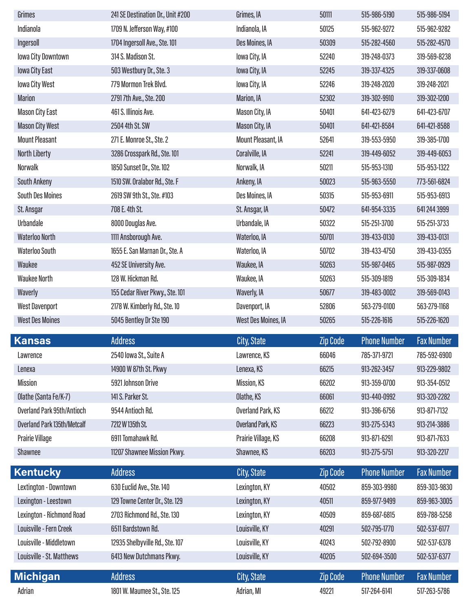| Grimes                                              | 241 SE Destination Dr., Unit #200           | Grimes, IA                             | 50111           | 515-986-5190                 | 515-986-5194                 |
|-----------------------------------------------------|---------------------------------------------|----------------------------------------|-----------------|------------------------------|------------------------------|
| Indianola                                           | 1709 N. Jefferson Way, #100                 | Indianola, IA                          | 50125           | 515-962-9272                 | 515-962-9282                 |
| Ingersoll                                           | 1704 Ingersoll Ave., Ste. 101               | Des Moines, IA                         | 50309           | 515-282-4560                 | 515-282-4570                 |
| lowa City Downtown                                  | 314 S. Madison St.                          | lowa City, IA                          | 52240           | 319-248-0373                 | 319-569-8238                 |
| <b>Iowa City East</b>                               | 503 Westbury Dr., Ste. 3                    | lowa City, IA                          | 52245           | 319-337-4325                 | 319-337-0608                 |
| lowa City West                                      | 779 Mormon Trek Blvd.                       | lowa City, IA                          | 52246           | 319-248-2020                 | 319-248-2021                 |
| <b>Marion</b>                                       | 27917th Ave., Ste. 200                      | Marion, IA                             | 52302           | 319-302-9910                 | 319-302-1200                 |
| <b>Mason City East</b>                              | 461 S. Illinois Ave.                        | Mason City, IA                         | 50401           | 641-423-6279                 | 641-423-6707                 |
| <b>Mason City West</b>                              | 2504 4th St. SW                             | Mason City, IA                         | 50401           | 641-421-8584                 | 641-421-8588                 |
| <b>Mount Pleasant</b>                               | 271 E. Monroe St., Ste. 2                   | Mount Pleasant, IA                     | 52641           | 319-553-5950                 | 319-385-1700                 |
| North Liberty                                       | 3286 Crosspark Rd., Ste. 101                | Coralville, IA                         | 52241           | 319-449-6052                 | 319-449-6053                 |
| Norwalk                                             | 1850 Sunset Dr., Ste. 102                   | Norwalk, IA                            | 50211           | 515-953-1310                 | 515-953-1322                 |
| <b>South Ankeny</b>                                 | 1510 SW. Oralabor Rd., Ste. F               | Ankeny, IA                             | 50023           | 515-963-5550                 | 773-561-6824                 |
| <b>South Des Moines</b>                             | 2619 SW 9th St., Ste. #103                  | Des Moines, IA                         | 50315           | 515-953-6911                 | 515-953-6913                 |
| St. Ansgar                                          | 708 E. 4th St.                              | St. Ansgar, IA                         | 50472           | 641-954-3335                 | 641 244 3999                 |
| Urbandale                                           | 8000 Douglas Ave.                           | Urbandale, IA                          | 50322           | 515-251-3700                 | 515-251-3733                 |
| <b>Waterloo North</b>                               | 1111 Ansborough Ave.                        | Waterloo, IA                           | 50701           | 319-433-0130                 | 319-433-0131                 |
| <b>Waterloo South</b>                               | 1655 E. San Marnan Dr., Ste. A              | Waterloo, IA                           | 50702           | 319-433-4750                 | 319-433-0355                 |
| Waukee                                              | 452 SE University Ave.                      | Waukee, IA                             | 50263           | 515-987-0465                 | 515-987-0929                 |
| <b>Waukee North</b>                                 | 128 W. Hickman Rd.                          | Waukee, IA                             | 50263           | 515-309-1819                 | 515-309-1834                 |
| Waverly                                             | 155 Cedar River Pkwy., Ste. 101             | Waverly, IA                            | 50677           | 319-483-0002                 | 319-569-0143                 |
|                                                     |                                             |                                        |                 |                              |                              |
| <b>West Davenport</b>                               | 2178 W. Kimberly Rd., Ste. 10               | Davenport, IA                          | 52806           | 563-279-0100                 | 563-279-1168                 |
| <b>West Des Moines</b>                              | 5045 Bentley Dr Ste 190                     | West Des Moines, IA                    | 50265           | 515-226-1616                 | 515-226-1620                 |
|                                                     |                                             |                                        |                 |                              |                              |
| Kansas                                              | <b>Address</b>                              | <b>City, State</b>                     | <b>Zip Code</b> | <b>Phone Number</b>          | <b>Fax Number</b>            |
| Lawrence                                            | 2540 Iowa St., Suite A                      | Lawrence, KS                           | 66046<br>66215  | 785-371-9721<br>913-262-3457 | 785-592-6900<br>913-229-9802 |
| Lenexa<br><b>Mission</b>                            | 14900 W 87th St. Pkwy<br>5921 Johnson Drive | Lenexa, KS                             | 66202           | 913-359-0700                 | 913-354-0512                 |
|                                                     | 141 S. Parker St.                           | Mission, KS                            | 66061           | 913-440-0992                 | 913-320-2282                 |
| Olathe (Santa Fe/K-7)<br>Overland Park 95th/Antioch | 9544 Antioch Rd.                            | Olathe, KS                             | 66212           | 913-396-6756                 | 913-871-7132                 |
| Overland Park 135th/Metcalf                         | 7212 W 135th St.                            | Overland Park, KS<br>Overland Park, KS | 66223           | 913-275-5343                 | 913-214-3886                 |
| <b>Prairie Village</b>                              | 6911 Tomahawk Rd.                           | Prairie Village, KS                    | 66208           | 913-871-6291                 | 913-871-7633                 |
| Shawnee                                             | 11207 Shawnee Mission Pkwy.                 | Shawnee, KS                            | 66203           | 913-275-5751                 | 913-320-2217                 |
|                                                     |                                             |                                        |                 |                              |                              |
| <b>Kentucky</b>                                     | <b>Address</b>                              | City, State                            | <b>Zip Code</b> | <b>Phone Number</b>          | <b>Fax Number</b>            |
| Lextington - Downtown                               | 630 Euclid Ave., Ste. 140                   | Lexington, KY                          | 40502           | 859-303-9980                 | 859-303-9830                 |
| Lexington - Leestown                                | 129 Towne Center Dr., Ste. 129              | Lexington, KY                          | 40511           | 859-977-9499                 | 859-963-3005                 |
| Lexington - Richmond Road                           | 2703 Richmond Rd., Ste. 130                 | Lexington, KY                          | 40509           | 859-687-6815                 | 859-788-5258                 |
| Louisville - Fern Creek                             | 6511 Bardstown Rd.                          | Louisville, KY                         | 40291           | 502-795-1770                 | 502-537-6177                 |
| Louisville - Middletown                             | 12935 Shelbyville Rd., Ste. 107             | Louisville, KY                         | 40243           | 502-792-8900                 | 502-537-6378                 |
| Louisville - St. Matthews                           | 6413 New Dutchmans Pkwy.                    | Louisville, KY                         | 40205           | 502-694-3500                 | 502-537-6377                 |
| <b>Michigan</b>                                     | <b>Address</b>                              | City, State                            | Zip Code        | <b>Phone Number</b>          | <b>Fax Number</b>            |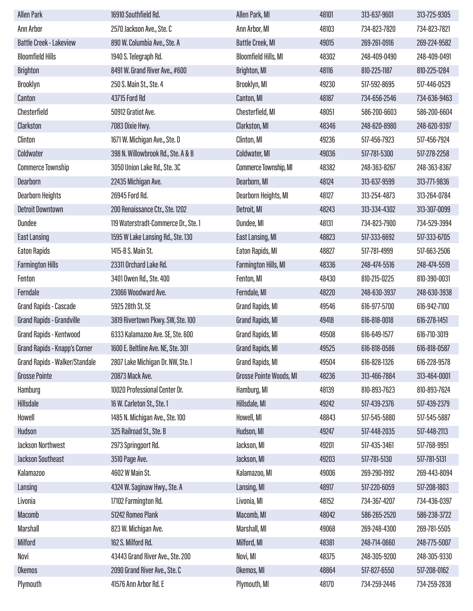| <b>Allen Park</b>              | 16910 Southfield Rd.                 | Allen Park, MI              | 48101 | 313-637-9601 | 313-725-9305 |
|--------------------------------|--------------------------------------|-----------------------------|-------|--------------|--------------|
| Ann Arbor                      | 2570 Jackson Ave., Ste. C            | Ann Arbor, MI               | 48103 | 734-823-7820 | 734-823-7821 |
| <b>Battle Creek - Lakeview</b> | 890 W. Columbia Ave., Ste. A         | <b>Battle Creek, MI</b>     | 49015 | 269-261-0916 | 269-224-9582 |
| <b>Bloomfield Hills</b>        | 1940 S. Telegraph Rd.                | <b>Bloomfield Hills, MI</b> | 48302 | 248-409-0490 | 248-409-0491 |
| <b>Brighton</b>                | 8491 W. Grand River Ave., #600       | <b>Brighton, MI</b>         | 48116 | 810-225-1187 | 810-225-1284 |
| Brooklyn                       | 250 S. Main St., Ste. 4              | Brooklyn, MI                | 49230 | 517-592-8695 | 517-446-0529 |
| Canton                         | 43715 Ford Rd                        | Canton, MI                  | 48187 | 734-656-2546 | 734-636-9463 |
| Chesterfield                   | 50912 Gratiot Ave.                   | Chesterfield, MI            | 48051 | 586-200-6603 | 586-200-6604 |
| Clarkston                      | 7083 Dixie Hwy.                      | Clarkston, MI               | 48346 | 248-620-8980 | 248-620-9397 |
| Clinton                        | 1671 W. Michigan Ave., Ste. D        | Clinton, MI                 | 49236 | 517-456-7923 | 517-456-7924 |
| Coldwater                      | 398 N. Willowbrook Rd., Ste. A & B   | Coldwater, MI               | 49036 | 517-781-5300 | 517-278-2258 |
| <b>Commerce Township</b>       | 3050 Union Lake Rd., Ste. 3C         | Commerce Township, MI       | 48382 | 248-363-8267 | 248-363-8367 |
| <b>Dearborn</b>                | 22435 Michigan Ave.                  | Dearborn, MI                | 48124 | 313-637-9599 | 313-771-9836 |
| <b>Dearborn Heights</b>        | 26945 Ford Rd.                       | Dearborn Heights, MI        | 48127 | 313-254-4873 | 313-264-0784 |
| <b>Detroit Downtown</b>        | 200 Renaissance Ctr., Ste. 1202      | Detroit, MI                 | 48243 | 313-334-4302 | 313-307-0099 |
| <b>Dundee</b>                  | 119 Waterstradt-Commerce Dr., Ste. 1 | Dundee, MI                  | 48131 | 734-823-7900 | 734-529-3994 |
| <b>East Lansing</b>            | 1595 W Lake Lansing Rd., Ste. 130    | East Lansing, MI            | 48823 | 517-333-6692 | 517-333-6705 |
| <b>Eaton Rapids</b>            | 1415-B S. Main St.                   | Eaton Rapids, MI            | 48827 | 517-781-4999 | 517-663-2506 |
| <b>Farmington Hills</b>        | 23311 Orchard Lake Rd.               | <b>Farmington Hills, MI</b> | 48336 | 248-474-5516 | 248-474-5519 |
| Fenton                         | 3401 Owen Rd., Ste. 400              | Fenton, MI                  | 48430 | 810-215-0225 | 810-390-0031 |
| Ferndale                       | 23066 Woodward Ave.                  | Ferndale, MI                | 48220 | 248-630-3937 | 248-630-3938 |
| <b>Grand Rapids - Cascade</b>  | 5925 28th St. SE                     | Grand Rapids, MI            | 49546 | 616-977-5700 | 616-942-7100 |
| Grand Rapids - Grandville      | 3819 Rivertown Pkwy. SW, Ste. 100    | Grand Rapids, MI            | 49418 | 616-818-0018 | 616-278-1451 |
| Grand Rapids - Kentwood        | 6333 Kalamazoo Ave. SE, Ste. 600     | Grand Rapids, MI            | 49508 | 616-649-1577 | 616-710-3019 |
| Grand Rapids - Knapp's Corner  | 1600 E. Beltline Ave. NE, Ste. 301   | Grand Rapids, MI            | 49525 | 616-818-0586 | 616-818-0587 |
| Grand Rapids - Walker/Standale | 2807 Lake Michigan Dr. NW, Ste. 1    | Grand Rapids, MI            | 49504 | 616-828-1326 | 616-228-9578 |
| <b>Grosse Pointe</b>           | 20873 Mack Ave.                      | Grosse Pointe Woods, MI     | 48236 | 313-466-7884 | 313-464-0001 |
| Hamburg                        | 10020 Professional Center Dr.        | Hamburg, MI                 | 48139 | 810-893-7623 | 810-893-7624 |
| Hillsdale                      | 16 W. Carleton St., Ste. 1           | Hillsdale, MI               | 49242 | 517-439-2376 | 517-439-2379 |
| Howell                         | 1485 N. Michigan Ave., Ste. 100      | Howell, MI                  | 48843 | 517-545-5880 | 517-545-5887 |
| Hudson                         | 325 Railroad St., Ste. B             | Hudson, MI                  | 49247 | 517-448-2035 | 517-448-2113 |
| <b>Jackson Northwest</b>       | 2973 Springport Rd.                  | Jackson, MI                 | 49201 | 517-435-3461 | 517-768-9951 |
| Jackson Southeast              | 3510 Page Ave.                       | Jackson, MI                 | 49203 | 517-781-5130 | 517-781-5131 |
| <b>Kalamazoo</b>               | 4602 W Main St.                      | Kalamazoo, MI               | 49006 | 269-290-1992 | 269-443-8094 |
| Lansing                        | 4324 W. Saginaw Hwy., Ste. A         | Lansing, MI                 | 48917 | 517-220-6059 | 517-208-1803 |
| Livonia                        | 17102 Farmington Rd.                 | Livonia, MI                 | 48152 | 734-367-4207 | 734-436-0397 |
| Macomb                         | 51242 Romeo Plank                    | Macomb, MI                  | 48042 | 586-265-2520 | 586-238-3722 |
| <b>Marshall</b>                | 823 W. Michigan Ave.                 | Marshall, MI                | 49068 | 269-248-4300 | 269-781-5505 |
| <b>Milford</b>                 | 162 S. Milford Rd.                   | Milford, MI                 | 48381 | 248-714-0660 | 248-775-5007 |
| Novi                           | 43443 Grand River Ave., Ste. 200     | Novi, MI                    | 48375 | 248-305-9200 | 248-305-9330 |
| <b>Okemos</b>                  | 2090 Grand River Ave., Ste. C        | Okemos, MI                  | 48864 | 517-827-6550 | 517-208-0162 |
| Plymouth                       | 41576 Ann Arbor Rd. E                | Plymouth, MI                | 48170 | 734-259-2446 | 734-259-2838 |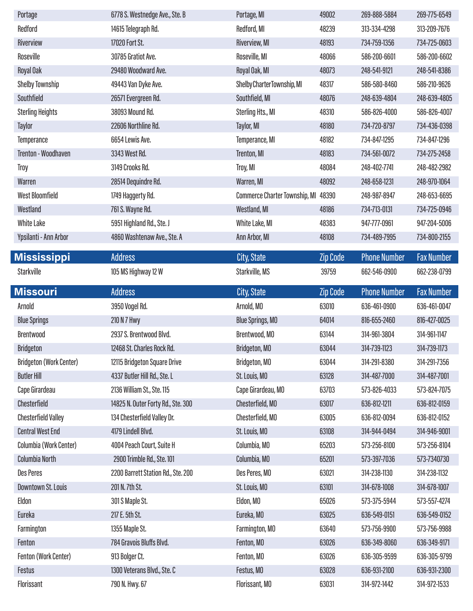| Portage                        | 6778 S. Westnedge Ave., Ste. B     | Portage, MI                          | 49002           | 269-888-5884        | 269-775-6549      |
|--------------------------------|------------------------------------|--------------------------------------|-----------------|---------------------|-------------------|
| Redford                        | 14615 Telegraph Rd.                | Redford, MI                          | 48239           | 313-334-4298        | 313-209-7676      |
| Riverview                      | 17020 Fort St.                     | Riverview, MI                        | 48193           | 734-759-1356        | 734-725-0603      |
| Roseville                      | 30785 Gratiot Ave.                 | Roseville, MI                        | 48066           | 586-200-6601        | 586-200-6602      |
| Royal Oak                      | 29480 Woodward Ave.                | Royal Oak, MI                        | 48073           | 248-541-9121        | 248-541-8386      |
| Shelby Township                | 49443 Van Dyke Ave.                | Shelby Charter Township, MI          | 48317           | 586-580-8460        | 586-210-9626      |
| Southfield                     | 26571 Evergreen Rd.                | Southfield, MI                       | 48076           | 248-639-4804        | 248-639-4805      |
| <b>Sterling Heights</b>        | 38093 Mound Rd.                    | Sterling Hts., MI                    | 48310           | 586-826-4000        | 586-826-4007      |
| Taylor                         | 22606 Northline Rd.                | Taylor, MI                           | 48180           | 734-720-8797        | 734-436-0398      |
| <b>Temperance</b>              | 6654 Lewis Ave.                    | Temperance, MI                       | 48182           | 734-847-1295        | 734-847-1296      |
| <b>Trenton - Woodhaven</b>     | 3343 West Rd.                      | <b>Trenton, MI</b>                   | 48183           | 734-561-0072        | 734-275-2458      |
| Troy                           | 3149 Crooks Rd.                    | Troy, MI                             | 48084           | 248-402-7741        | 248-482-2982      |
| Warren                         | 28514 Dequindre Rd.                | Warren, MI                           | 48092           | 248-658-1231        | 248-970-1064      |
| <b>West Bloomfield</b>         | 1749 Haggerty Rd.                  | <b>Commerce Charter Township, MI</b> | 48390           | 248-987-8947        | 248-653-6695      |
| Westland                       | 761 S. Wayne Rd.                   | Westland, MI                         | 48186           | 734-713-0131        | 734-725-0946      |
| <b>White Lake</b>              | 5951 Highland Rd., Ste. J          | White Lake, MI                       | 48383           | 947-777-0961        | 947-204-5006      |
| Ypsilanti - Ann Arbor          | 4860 Washtenaw Ave., Ste. A        | Ann Arbor, MI                        | 48108           | 734-489-7995        | 734-800-2155      |
| <b>Mississippi</b>             | <b>Address</b>                     | City, State                          | <b>Zip Code</b> | <b>Phone Number</b> | <b>Fax Number</b> |
| Starkville                     | 105 MS Highway 12 W                | Starkville, MS                       | 39759           | 662-546-0900        | 662-238-0799      |
|                                |                                    |                                      |                 |                     |                   |
| Missouri                       | <b>Address</b>                     | City, State                          | <b>Zip Code</b> | <b>Phone Number</b> | <b>Fax Number</b> |
|                                |                                    |                                      |                 |                     |                   |
| Arnold                         | 3950 Vogel Rd.                     | Arnold, MO                           | 63010           | 636-461-0900        | 636-461-0047      |
| <b>Blue Springs</b>            | 210 N 7 Hwy                        | <b>Blue Springs, MO</b>              | 64014           | 816-655-2460        | 816-427-0025      |
| <b>Brentwood</b>               | 2937 S. Brentwood Blvd.            | Brentwood, MO                        | 63144           | 314-961-3804        | 314-961-1147      |
| <b>Bridgeton</b>               | 12468 St. Charles Rock Rd.         | Bridgeton, MO                        | 63044           | 314-739-1123        | 314-739-1173      |
| <b>Bridgeton (Work Center)</b> | 12115 Bridgeton Square Drive       | Bridgeton, MO                        | 63044           | 314-291-8380        | 314-291-7356      |
| <b>Butler Hill</b>             | 4337 Butler Hill Rd., Ste. L       | St. Louis, MO                        | 63128           | 314-487-7000        | 314-487-7001      |
| Cape Girardeau                 | 2136 William St., Ste. 115         | Cape Girardeau, MO                   | 63703           | 573-826-4033        | 573-824-7075      |
| Chesterfield                   | 14825 N. Outer Forty Rd., Ste. 300 | Chesterfield, MO                     | 63017           | 636-812-1211        | 636-812-0159      |
| <b>Chesterfield Valley</b>     | 134 Chesterfield Valley Dr.        | Chesterfield, MO                     | 63005           | 636-812-0094        | 636-812-0152      |
| <b>Central West End</b>        | 4179 Lindell Blvd.                 | St. Louis, MO                        | 63108           | 314-944-0494        | 314-946-9001      |
| Columbia (Work Center)         | 4004 Peach Court, Suite H          | Columbia, MO                         | 65203           | 573-256-8100        | 573-256-8104      |
| Columbia North                 | 2900 Trimble Rd., Ste. 101         | Columbia, MO                         | 65201           | 573-397-7036        | 573-7340730       |
| <b>Des Peres</b>               | 2200 Barrett Station Rd., Ste. 200 | Des Peres, MO                        | 63021           | 314-238-1130        | 314-238-1132      |
| Downtown St. Louis             | 201 N. 7th St.                     | St. Louis, MO                        | 63101           | 314-678-1008        | 314-678-1007      |
| Eldon                          | 301 S Maple St.                    | Eldon, MO                            | 65026           | 573-375-5944        | 573-557-4274      |
| Eureka                         | 217 E. 5th St.                     | Eureka, MO                           | 63025           | 636-549-0151        | 636-549-0152      |
| Farmington                     | 1355 Maple St.                     | Farmington, MO                       | 63640           | 573-756-9900        | 573-756-9988      |
| Fenton                         | 784 Gravois Bluffs Blvd.           | Fenton, MO                           | 63026           | 636-349-8060        | 636-349-9171      |
| <b>Fenton (Work Center)</b>    | 913 Bolger Ct.                     | Fenton, MO                           | 63026           | 636-305-9599        | 636-305-9799      |
| <b>Festus</b>                  | 1300 Veterans Blvd., Ste. C        | Festus, MO                           | 63028           | 636-931-2100        | 636-931-2300      |

I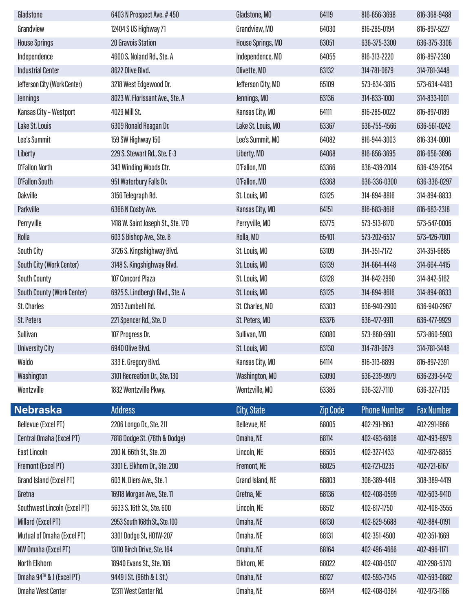| Gladstone                    | 6403 N Prospect Ave. #450          | Gladstone, MO      | 64119    | 816-656-3698        | 816-368-9488      |
|------------------------------|------------------------------------|--------------------|----------|---------------------|-------------------|
| Grandview                    | 12404 S US Highway 71              | Grandview, MO      | 64030    | 816-285-0194        | 816-897-5227      |
| <b>House Springs</b>         | 20 Gravois Station                 | House Springs, MO  | 63051    | 636-375-3300        | 636-375-3306      |
| Independence                 | 4600 S. Noland Rd., Ste. A         | Independence, MO   | 64055    | 816-313-2220        | 816-897-2390      |
| <b>Industrial Center</b>     | 8622 Olive Blvd.                   | Olivette, MO       | 63132    | 314-781-0679        | 314-781-3448      |
| Jefferson City (Work Center) | 3218 West Edgewood Dr.             | Jefferson City, MO | 65109    | 573-634-3815        | 573-634-4483      |
| <b>Jennings</b>              | 8023 W. Florissant Ave., Ste. A    | Jennings, MO       | 63136    | 314-833-1000        | 314-833-1001      |
| Kansas City - Westport       | 4029 Mill St.                      | Kansas City, MO    | 64111    | 816-285-0022        | 816-897-0189      |
| Lake St. Louis               | 6309 Ronald Reagan Dr.             | Lake St. Louis, MO | 63367    | 636-755-4566        | 636-561-0242      |
| Lee's Summit                 | 159 SW Highway 150                 | Lee's Summit, MO   | 64082    | 816-944-3003        | 816-334-0001      |
| Liberty                      | 229 S. Stewart Rd., Ste. E-3       | Liberty, MO        | 64068    | 816-656-3695        | 816-656-3696      |
| <b>O'Fallon North</b>        | 343 Winding Woods Ctr.             | O'Fallon, MO       | 63366    | 636-439-2004        | 636-439-2054      |
| <b>O'Fallon South</b>        | 951 Waterbury Falls Dr.            | O'Fallon, MO       | 63368    | 636-336-0300        | 636-336-0297      |
| <b>Oakville</b>              | 3156 Telegraph Rd.                 | St. Louis, MO      | 63125    | 314-894-8816        | 314-894-8833      |
| Parkville                    | 6366 N Cosby Ave.                  | Kansas City, MO    | 64151    | 816-683-8618        | 816-683-2318      |
| Perryville                   | 1418 W. Saint Joseph St., Ste. 170 | Perryville, MO     | 63775    | 573-513-8170        | 573-547-0006      |
| Rolla                        | 603 S Bishop Ave., Ste. B          | Rolla, MO          | 65401    | 573-202-6537        | 573-426-7001      |
| South City                   | 3726 S. Kingshighway Blvd.         | St. Louis, MO      | 63109    | 314-351-7172        | 314-351-6885      |
| South City (Work Center)     | 3148 S. Kingshighway Blvd.         | St. Louis, MO      | 63139    | 314-664-4448        | 314-664-4415      |
| <b>South County</b>          | 107 Concord Plaza                  | St. Louis, MO      | 63128    | 314-842-2990        | 314-842-5162      |
| South County (Work Center)   | 6925 S. Lindbergh Blvd., Ste. A    | St. Louis, MO      | 63125    | 314-894-8616        | 314-894-8633      |
| St. Charles                  | 2053 Zumbehl Rd.                   | St. Charles, MO    | 63303    | 636-940-2900        | 636-940-2967      |
| <b>St. Peters</b>            | 221 Spencer Rd., Ste. D            | St. Peters, MO     | 63376    | 636-477-9911        | 636-477-9929      |
| Sullivan                     | 107 Progress Dr.                   | Sullivan, MO       | 63080    | 573-860-5901        | 573-860-5903      |
| <b>University City</b>       | 6940 Olive Blvd.                   | St. Louis, MO      | 63130    | 314-781-0679        | 314-781-3448      |
| Waldo                        | 333 E. Gregory Blvd.               | Kansas City, MO    | 64114    | 816-313-8899        | 816-897-2391      |
| Washington                   | 3101 Recreation Dr., Ste. 130      | Washington, MO     | 63090    | 636-239-9979        | 636-239-5442      |
| Wentzville                   | 1832 Wentzville Pkwy.              | Wentzville, MO     | 63385    | 636-327-7110        | 636-327-7135      |
| <b>Nebraska</b>              | <b>Address</b>                     | City, State        | Zip Code | <b>Phone Number</b> | <b>Fax Number</b> |
| Bellevue (Excel PT)          | 2206 Longo Dr., Ste. 211           | Bellevue, NE       | 68005    | 402-291-1963        | 402-291-1966      |
| Central Omaha (Excel PT)     | 7818 Dodge St. (78th & Dodge)      | Omaha, NE          | 68114    | 402-493-6808        | 402-493-6979      |
| <b>East Lincoln</b>          | 200 N. 66th St., Ste. 20           | Lincoln, NE        | 68505    | 402-327-1433        | 402-972-8855      |
| Fremont (Excel PT)           | 3301 E. Elkhorn Dr., Ste. 200      | Fremont, NE        | 68025    | 402-721-0235        | 402-721-6167      |
| Grand Island (Excel PT)      | 603 N. Diers Ave., Ste. 1          | Grand Island, NE   | 68803    | 308-389-4418        | 308-389-4419      |
| Gretna                       | 16918 Morgan Ave., Ste. 11         | Gretna, NE         | 68136    | 402-408-0599        | 402-503-9410      |
| Southwest Lincoln (Excel PT) | 5633 S. 16th St., Ste. 600         | Lincoln, NE        | 68512    | 402-817-1750        | 402-408-3555      |
| Millard (Excel PT)           | 2953 South 168th St., Ste. 100     | Omaha, NE          | 68130    | 402-829-5688        | 402-884-0191      |
| Mutual of Omaha (Excel PT)   | 3301 Dodge St, H01W-207            | Omaha, NE          | 68131    | 402-351-4500        | 402-351-1669      |
| NW Omaha (Excel PT)          | 13110 Birch Drive, Ste. 164        | Omaha, NE          | 68164    | 402-496-4666        | 402-496-1171      |
| North Elkhorn                | 18940 Evans St., Ste. 106          | Elkhorn, NE        | 68022    | 402-408-0507        | 402-298-5370      |
| Omaha 94™ & J (Excel PT)     | 9449 J St. (96th & L St.)          | Omaha, NE          | 68127    | 402-593-7345        | 402-593-0882      |
| <b>Omaha West Center</b>     | 12311 West Center Rd.              | Omaha, NE          | 68144    | 402-408-0384        | 402-973-1186      |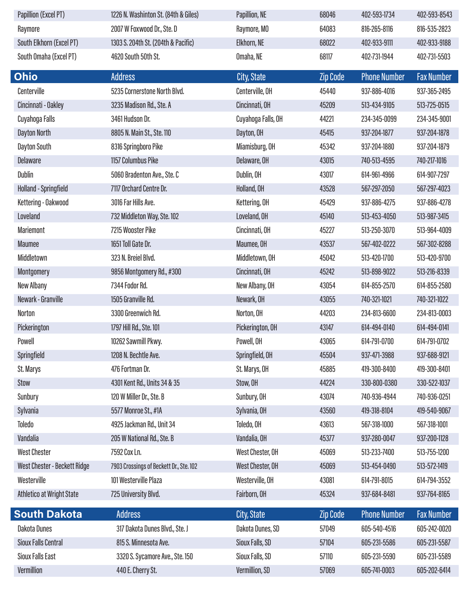| Papillion (Excel PT)                | 1226 N. Washinton St. (84th & Giles)    | Papillion, NE      | 68046           | 402-593-1734        | 402-593-8543      |
|-------------------------------------|-----------------------------------------|--------------------|-----------------|---------------------|-------------------|
| Raymore                             | 2007 W Foxwood Dr., Ste. D              | Raymore, MO        | 64083           | 816-265-8116        | 816-535-2823      |
| South Elkhorn (Excel PT)            | 1303 S. 204th St. (204th & Pacific)     | Elkhorn, NE        | 68022           | 402-933-9111        | 402-933-9188      |
| South Omaha (Excel PT)              | 4620 South 50th St.                     | Omaha, NE          | 68117           | 402-731-1944        | 402-731-5503      |
| <b>Ohio</b>                         | Address                                 | City, State        | <b>Zip Code</b> | <b>Phone Number</b> | <b>Fax Number</b> |
| Centerville                         | 5235 Cornerstone North Blvd.            | Centerville, OH    | 45440           | 937-886-4016        | 937-365-2495      |
| Cincinnati - Oakley                 | 3235 Madison Rd., Ste. A                | Cincinnati, OH     | 45209           | 513-434-9105        | 513-725-0515      |
| Cuyahoga Falls                      | 3461 Hudson Dr.                         | Cuyahoga Falls, OH | 44221           | 234-345-0099        | 234-345-9001      |
| Dayton North                        | 8805 N. Main St., Ste. 110              | Dayton, OH         | 45415           | 937-204-1877        | 937-204-1878      |
| Dayton South                        | 8316 Springboro Pike                    | Miamisburg, OH     | 45342           | 937-204-1880        | 937-204-1879      |
| <b>Delaware</b>                     | 1157 Columbus Pike                      | Delaware, OH       | 43015           | 740-513-4595        | 740-217-1016      |
| Dublin                              | 5060 Bradenton Ave., Ste. C             | Dublin, OH         | 43017           | 614-961-4966        | 614-907-7297      |
| <b>Holland - Springfield</b>        | 7117 Orchard Centre Dr.                 | Holland, OH        | 43528           | 567-297-2050        | 567-297-4023      |
| Kettering - Oakwood                 | 3016 Far Hills Ave.                     | Kettering, OH      | 45429           | 937-886-4275        | 937-886-4278      |
| Loveland                            | 732 Middleton Way, Ste. 102             | Loveland, OH       | 45140           | 513-453-4050        | 513-987-3415      |
| <b>Mariemont</b>                    | 7215 Wooster Pike                       | Cincinnati, OH     | 45227           | 513-250-3070        | 513-964-4009      |
| <b>Maumee</b>                       | 1651 Toll Gate Dr.                      | Maumee, OH         | 43537           | 567-402-0222        | 567-302-8288      |
| Middletown                          | 323 N. Breiel Blvd.                     | Middletown, OH     | 45042           | 513-420-1700        | 513-420-9700      |
| Montgomery                          | 9856 Montgomery Rd., #300               | Cincinnati, OH     | 45242           | 513-898-9022        | 513-216-8339      |
| New Albany                          | 7344 Fodor Rd.                          | New Albany, OH     | 43054           | 614-855-2570        | 614-855-2580      |
| Newark - Granville                  | 1505 Granville Rd.                      | Newark, OH         | 43055           | 740-321-1021        | 740-321-1022      |
| Norton                              | 3300 Greenwich Rd.                      | Norton, OH         | 44203           | 234-813-6600        | 234-813-0003      |
| Pickerington                        | 1797 Hill Rd., Ste. 101                 | Pickerington, OH   | 43147           | 614-494-0140        | 614-494-0141      |
| Powell                              | 10262 Sawmill Pkwy.                     | Powell, OH         | 43065           | 614-791-0700        | 614-791-0702      |
| Springfield                         | 1208 N. Bechtle Ave.                    | Springfield, OH    | 45504           | 937-471-3988        | 937-688-9121      |
| St. Marys                           | 476 Fortman Dr.                         | St. Marys, OH      | 45885           | 419-300-8400        | 419-300-8401      |
| Stow                                | 4301 Kent Rd., Units 34 & 35            | Stow, OH           | 44224           | 330-800-0380        | 330-522-1037      |
| Sunbury                             | 120 W Miller Dr., Ste. B                | Sunbury, OH        | 43074           | 740-936-4944        | 740-936-0251      |
| Sylvania                            | 5577 Monroe St., #1A                    | Sylvania, OH       | 43560           | 419-318-8104        | 419-540-9067      |
| Toledo                              | 4925 Jackman Rd., Unit 34               | Toledo, OH         | 43613           | 567-318-1000        | 567-318-1001      |
| Vandalia                            | 205 W National Rd., Ste. B              | Vandalia, OH       | 45377           | 937-280-0047        | 937-200-1128      |
| <b>West Chester</b>                 | 7592 Cox Ln.                            | West Chester, OH   | 45069           | 513-233-7400        | 513-755-1200      |
| <b>West Chester - Beckett Ridge</b> | 7903 Crossings of Beckett Dr., Ste. 102 | West Chester, OH   | 45069           | 513-454-0490        | 513-572-1419      |
| Westerville                         | 101 Westerville Plaza                   | Westerville, OH    | 43081           | 614-791-8015        | 614-794-3552      |
| <b>Athletico at Wright State</b>    | 725 University Blvd.                    | Fairborn, OH       | 45324           | 937-684-8481        | 937-764-8165      |
| <b>South Dakota</b>                 | <b>Address</b>                          | City, State        | <b>Zip Code</b> | <b>Phone Number</b> | <b>Fax Number</b> |
| Dakota Dunes                        | 317 Dakota Dunes Blvd., Ste. J          | Dakota Dunes, SD   | 57049           | 605-540-4516        | 605-242-0020      |
| <b>Sioux Falls Central</b>          | 815 S. Minnesota Ave.                   | Sioux Falls, SD    | 57104           | 605-231-5586        | 605-231-5587      |
| <b>Sioux Falls East</b>             | 3320 S. Sycamore Ave., Ste. 150         | Sioux Falls, SD    | 57110           | 605-231-5590        | 605-231-5589      |
| Vermillion                          | 440 E. Cherry St.                       | Vermillion, SD     | 57069           | 605-741-0003        | 605-202-6414      |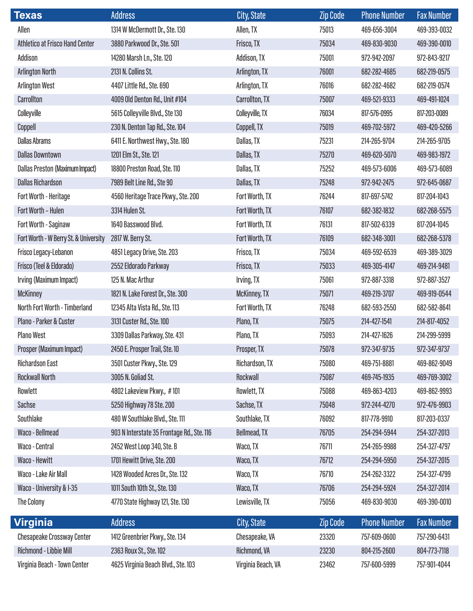| <b>Texas</b>                           | <b>Address</b>                             | City, State         | <b>Zip Code</b> | <b>Phone Number</b> | <b>Fax Number</b> |
|----------------------------------------|--------------------------------------------|---------------------|-----------------|---------------------|-------------------|
| Allen                                  | 1314 W McDermott Dr., Ste. 130             | Allen, TX           | 75013           | 469-656-3004        | 469-393-0032      |
| <b>Athletico at Frisco Hand Center</b> | 3880 Parkwood Dr., Ste. 501                | Frisco, TX          | 75034           | 469-830-9030        | 469-390-0010      |
| Addison                                | 14280 Marsh Ln., Ste. 120                  | Addison, TX         | 75001           | 972-942-2097        | 972-843-9217      |
| <b>Arlington North</b>                 | 2131 N. Collins St.                        | Arlington, TX       | 76001           | 682-282-4685        | 682-219-0575      |
| <b>Arlington West</b>                  | 4407 Little Rd., Ste. 690                  | Arlington, TX       | 76016           | 682-282-4682        | 682-219-0574      |
| Carrollton                             | 4009 Old Denton Rd., Unit #104             | Carrollton, TX      | 75007           | 469-521-9333        | 469-491-1024      |
| Colleyville                            | 5615 Colleyville Blvd., Ste 130            | Colleyville, TX     | 76034           | 817-576-0995        | 817-203-0089      |
| Coppell                                | 230 N. Denton Tap Rd., Ste. 104            | Coppell, TX         | 75019           | 469-702-5972        | 469-420-5266      |
| <b>Dallas Abrams</b>                   | 6411 E. Northwest Hwy., Ste. 180           | Dallas, TX          | 75231           | 214-265-9704        | 214-265-9705      |
| <b>Dallas Downtown</b>                 | 1201 Elm St., Ste. 121                     | Dallas, TX          | 75270           | 469-620-5070        | 469-983-1972      |
| <b>Dallas Preston (Maximum Impact)</b> | 18800 Preston Road, Ste. 110               | Dallas, TX          | 75252           | 469-573-6006        | 469-573-6089      |
| <b>Dallas Richardson</b>               | 7989 Belt Line Rd., Ste 90                 | Dallas, TX          | 75248           | 972-942-2475        | 972-645-0687      |
| <b>Fort Worth - Heritage</b>           | 4560 Heritage Trace Pkwy., Ste. 200        | Fort Worth, TX      | 76244           | 817-697-5742        | 817-204-1043      |
| Fort Worth - Hulen                     | 3314 Hulen St.                             | Fort Worth, TX      | 76107           | 682-382-1832        | 682-268-5575      |
| Fort Worth - Saginaw                   | 1640 Basswood Blvd.                        | Fort Worth, TX      | 76131           | 817-502-6339        | 817-204-1045      |
| Fort Worth - W Berry St. & University  | 2817 W. Berry St.                          | Fort Worth, TX      | 76109           | 682-348-3001        | 682-268-5378      |
| Frisco Legacy-Lebanon                  | 4851 Legacy Drive, Ste. 203                | Frisco, TX          | 75034           | 469-592-6539        | 469-389-3029      |
| Frisco (Teel & Eldorado)               | 2552 Eldorado Parkway                      | Frisco, TX          | 75033           | 469-305-4147        | 469-214-9481      |
| Irving (Maximum Impact)                | 125 N. Mac Arthur                          | Irving, TX          | 75061           | 972-887-3318        | 972-887-3527      |
| <b>McKinney</b>                        | 1821 N. Lake Forest Dr., Ste. 300          | <b>McKinney, TX</b> | 75071           | 469-219-3707        | 469-919-0544      |
| North Fort Worth - Timberland          | 12345 Alta Vista Rd., Ste. 113             | Fort Worth, TX      | 76248           | 682-593-2550        | 682-582-8641      |
| Plano - Parker & Custer                | 3131 Custer Rd., Ste. 100                  | Plano, TX           | 75075           | 214-427-1541        | 214-817-4052      |
| <b>Plano West</b>                      | 3309 Dallas Parkway, Ste. 431              | Plano, TX           | 75093           | 214-427-1626        | 214-299-5999      |
| Prosper (Maximum Impact)               | 2450 E. Prosper Trail, Ste. 10             | Prosper, TX         | 75078           | 972-347-9735        | 972-347-9737      |
| <b>Richardson East</b>                 | 3501 Custer Pkwy., Ste. 129                | Richardson, TX      | 75080           | 469-751-8881        | 469-862-9049      |
| <b>Rockwall North</b>                  | 3005 N. Goliad St.                         | Rockwall            | 75087           | 469-745-1935        | 469-769-3002      |
| Rowlett                                | 4802 Lakeview Pkwy., #101                  | Rowlett, TX         | 75088           | 469-863-4203        | 469-862-9993      |
| Sachse                                 | 5250 Highway 78 Ste. 200                   | Sachse, TX          | 75048           | 972-244-4270        | 972-476-9903      |
| Southlake                              | 480 W Southlake Blvd., Ste. 111            | Southlake, TX       | 76092           | 817-778-9910        | 817-203-0337      |
| Waco - Bellmead                        | 903 N Interstate 35 Frontage Rd., Ste. 116 | <b>Bellmead, TX</b> | 76705           | 254-294-5944        | 254-327-2013      |
| Waco - Central                         | 2452 West Loop 340, Ste. B                 | Waco, TX            | 76711           | 254-265-9988        | 254-327-4797      |
| Waco - Hewitt                          | 1701 Hewitt Drive, Ste. 200                | Waco, TX            | 76712           | 254-294-5950        | 254-327-2015      |
| Waco - Lake Air Mall                   | 1428 Wooded Acres Dr., Ste. 132            | Waco, TX            | 76710           | 254-262-3322        | 254-327-4799      |
| Waco - University & I-35               | 1011 South 10th St., Ste. 130              | Waco, TX            | 76706           | 254-294-5924        | 254-327-2014      |
| The Colony                             | 4770 State Highway 121, Ste. 130           | Lewisville, TX      | 75056           | 469-830-9030        | 469-390-0010      |
| Virginia                               | <b>Address</b>                             | City, State         | Zip Code        | <b>Phone Number</b> | <b>Fax Number</b> |
| <b>Chesapeake Crossway Center</b>      | 1412 Greenbrier Pkwy., Ste. 134            | Chesapeake, VA      | 23320           | 757-609-0600        | 757-290-6431      |
| Richmond - Libbie Mill                 | 2363 Roux St., Ste. 102                    | Richmond, VA        | 23230           | 804-215-2600        | 804-773-7118      |
| Virginia Beach - Town Center           | 4625 Virginia Beach Blvd., Ste. 103        | Virginia Beach, VA  | 23462           | 757-600-5999        | 757-901-4044      |